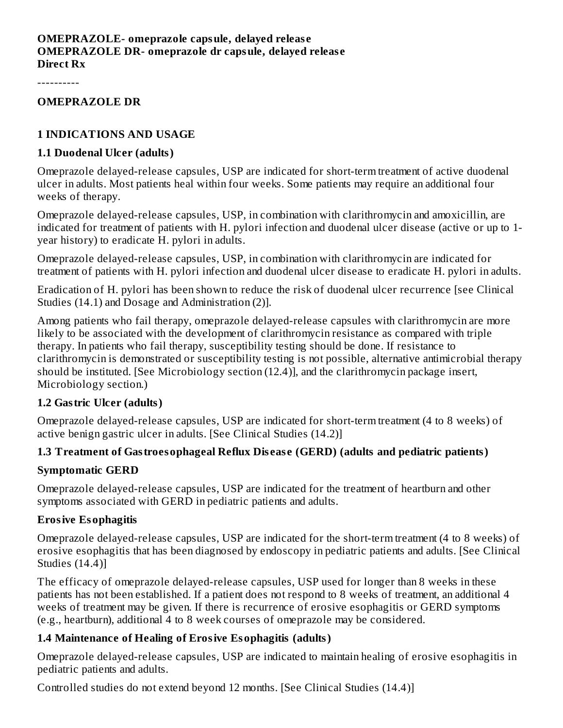#### **OMEPRAZOLE- omeprazole capsule, delayed releas e OMEPRAZOLE DR- omeprazole dr capsule, delayed releas e Direct Rx**

----------

#### **OMEPRAZOLE DR**

#### **1 INDICATIONS AND USAGE**

#### **1.1 Duodenal Ulcer (adults)**

Omeprazole delayed-release capsules, USP are indicated for short-term treatment of active duodenal ulcer in adults. Most patients heal within four weeks. Some patients may require an additional four weeks of therapy.

Omeprazole delayed-release capsules, USP, in combination with clarithromycin and amoxicillin, are indicated for treatment of patients with H. pylori infection and duodenal ulcer disease (active or up to 1 year history) to eradicate H. pylori in adults.

Omeprazole delayed-release capsules, USP, in combination with clarithromycin are indicated for treatment of patients with H. pylori infection and duodenal ulcer disease to eradicate H. pylori in adults.

Eradication of H. pylori has been shown to reduce the risk of duodenal ulcer recurrence [see Clinical Studies (14.1) and Dosage and Administration (2)].

Among patients who fail therapy, omeprazole delayed-release capsules with clarithromycin are more likely to be associated with the development of clarithromycin resistance as compared with triple therapy. In patients who fail therapy, susceptibility testing should be done. If resistance to clarithromycin is demonstrated or susceptibility testing is not possible, alternative antimicrobial therapy should be instituted. [See Microbiology section (12.4)], and the clarithromycin package insert, Microbiology section.)

#### **1.2 Gastric Ulcer (adults)**

Omeprazole delayed-release capsules, USP are indicated for short-term treatment (4 to 8 weeks) of active benign gastric ulcer in adults. [See Clinical Studies (14.2)]

#### **1.3 Treatment of Gastroesophageal Reflux Dis eas e (GERD) (adults and pediatric patients)**

#### **Symptomatic GERD**

Omeprazole delayed-release capsules, USP are indicated for the treatment of heartburn and other symptoms associated with GERD in pediatric patients and adults.

#### **Erosive Esophagitis**

Omeprazole delayed-release capsules, USP are indicated for the short-term treatment (4 to 8 weeks) of erosive esophagitis that has been diagnosed by endoscopy in pediatric patients and adults. [See Clinical Studies (14.4)]

The efficacy of omeprazole delayed-release capsules, USP used for longer than 8 weeks in these patients has not been established. If a patient does not respond to 8 weeks of treatment, an additional 4 weeks of treatment may be given. If there is recurrence of erosive esophagitis or GERD symptoms (e.g., heartburn), additional 4 to 8 week courses of omeprazole may be considered.

#### **1.4 Maintenance of Healing of Erosive Esophagitis (adults)**

Omeprazole delayed-release capsules, USP are indicated to maintain healing of erosive esophagitis in pediatric patients and adults.

Controlled studies do not extend beyond 12 months. [See Clinical Studies (14.4)]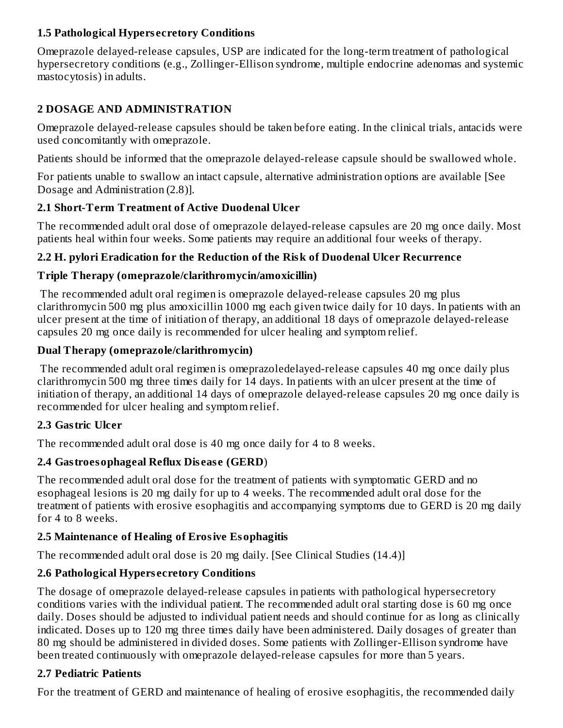#### **1.5 Pathological Hypers ecretory Conditions**

Omeprazole delayed-release capsules, USP are indicated for the long-term treatment of pathological hypersecretory conditions (e.g., Zollinger-Ellison syndrome, multiple endocrine adenomas and systemic mastocytosis) in adults.

## **2 DOSAGE AND ADMINISTRATION**

Omeprazole delayed-release capsules should be taken before eating. In the clinical trials, antacids were used concomitantly with omeprazole.

Patients should be informed that the omeprazole delayed-release capsule should be swallowed whole.

For patients unable to swallow an intact capsule, alternative administration options are available [See Dosage and Administration (2.8)].

## **2.1 Short-Term Treatment of Active Duodenal Ulcer**

The recommended adult oral dose of omeprazole delayed-release capsules are 20 mg once daily. Most patients heal within four weeks. Some patients may require an additional four weeks of therapy.

## **2.2 H. pylori Eradication for the Reduction of the Risk of Duodenal Ulcer Recurrence**

## **Triple Therapy (omeprazole/clarithromycin/amoxicillin)**

The recommended adult oral regimen is omeprazole delayed-release capsules 20 mg plus clarithromycin 500 mg plus amoxicillin 1000 mg each given twice daily for 10 days. In patients with an ulcer present at the time of initiation of therapy, an additional 18 days of omeprazole delayed-release capsules 20 mg once daily is recommended for ulcer healing and symptom relief.

## **Dual Therapy (omeprazole/clarithromycin)**

The recommended adult oral regimen is omeprazoledelayed-release capsules 40 mg once daily plus clarithromycin 500 mg three times daily for 14 days. In patients with an ulcer present at the time of initiation of therapy, an additional 14 days of omeprazole delayed-release capsules 20 mg once daily is recommended for ulcer healing and symptom relief.

## **2.3 Gastric Ulcer**

The recommended adult oral dose is 40 mg once daily for 4 to 8 weeks.

## **2.4 Gastroesophageal Reflux Dis eas e (GERD**)

The recommended adult oral dose for the treatment of patients with symptomatic GERD and no esophageal lesions is 20 mg daily for up to 4 weeks. The recommended adult oral dose for the treatment of patients with erosive esophagitis and accompanying symptoms due to GERD is 20 mg daily for 4 to 8 weeks.

## **2.5 Maintenance of Healing of Erosive Esophagitis**

The recommended adult oral dose is 20 mg daily. [See Clinical Studies (14.4)]

## **2.6 Pathological Hypers ecretory Conditions**

The dosage of omeprazole delayed-release capsules in patients with pathological hypersecretory conditions varies with the individual patient. The recommended adult oral starting dose is 60 mg once daily. Doses should be adjusted to individual patient needs and should continue for as long as clinically indicated. Doses up to 120 mg three times daily have been administered. Daily dosages of greater than 80 mg should be administered in divided doses. Some patients with Zollinger-Ellison syndrome have been treated continuously with omeprazole delayed-release capsules for more than 5 years.

## **2.7 Pediatric Patients**

For the treatment of GERD and maintenance of healing of erosive esophagitis, the recommended daily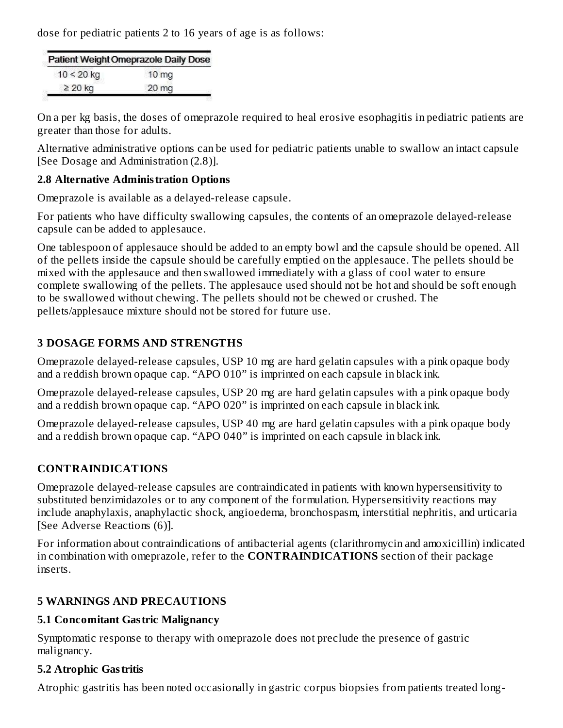dose for pediatric patients 2 to 16 years of age is as follows:

|              | Patient Weight Omeprazole Daily Dose |
|--------------|--------------------------------------|
| $10 < 20$ kg | 10 <sub>mg</sub>                     |
| $\geq$ 20 kg | 20 mg                                |

On a per kg basis, the doses of omeprazole required to heal erosive esophagitis in pediatric patients are greater than those for adults.

Alternative administrative options can be used for pediatric patients unable to swallow an intact capsule [See Dosage and Administration (2.8)].

#### **2.8 Alternative Administration Options**

Omeprazole is available as a delayed-release capsule.

For patients who have difficulty swallowing capsules, the contents of an omeprazole delayed-release capsule can be added to applesauce.

One tablespoon of applesauce should be added to an empty bowl and the capsule should be opened. All of the pellets inside the capsule should be carefully emptied on the applesauce. The pellets should be mixed with the applesauce and then swallowed immediately with a glass of cool water to ensure complete swallowing of the pellets. The applesauce used should not be hot and should be soft enough to be swallowed without chewing. The pellets should not be chewed or crushed. The pellets/applesauce mixture should not be stored for future use.

#### **3 DOSAGE FORMS AND STRENGTHS**

Omeprazole delayed-release capsules, USP 10 mg are hard gelatin capsules with a pink opaque body and a reddish brown opaque cap. "APO 010" is imprinted on each capsule in black ink.

Omeprazole delayed-release capsules, USP 20 mg are hard gelatin capsules with a pink opaque body and a reddish brown opaque cap. "APO 020" is imprinted on each capsule in black ink.

Omeprazole delayed-release capsules, USP 40 mg are hard gelatin capsules with a pink opaque body and a reddish brown opaque cap. "APO 040" is imprinted on each capsule in black ink.

#### **CONTRAINDICATIONS**

Omeprazole delayed-release capsules are contraindicated in patients with known hypersensitivity to substituted benzimidazoles or to any component of the formulation. Hypersensitivity reactions may include anaphylaxis, anaphylactic shock, angioedema, bronchospasm, interstitial nephritis, and urticaria [See Adverse Reactions (6)].

For information about contraindications of antibacterial agents (clarithromycin and amoxicillin) indicated in combination with omeprazole, refer to the **CONTRAINDICATIONS** section of their package inserts.

#### **5 WARNINGS AND PRECAUTIONS**

#### **5.1 Concomitant Gastric Malignancy**

Symptomatic response to therapy with omeprazole does not preclude the presence of gastric malignancy.

#### **5.2 Atrophic Gastritis**

Atrophic gastritis has been noted occasionally in gastric corpus biopsies from patients treated long-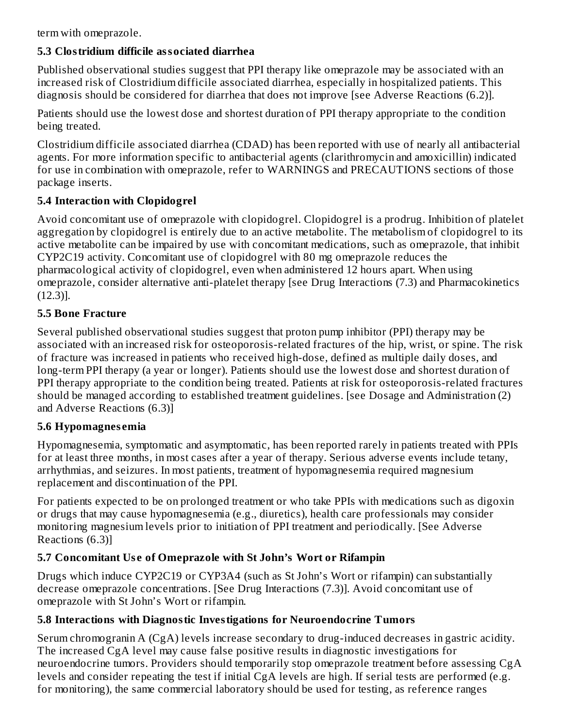term with omeprazole.

## **5.3 Clostridium difficile associated diarrhea**

Published observational studies suggest that PPI therapy like omeprazole may be associated with an increased risk of Clostridium difficile associated diarrhea, especially in hospitalized patients. This diagnosis should be considered for diarrhea that does not improve [see Adverse Reactions (6.2)].

Patients should use the lowest dose and shortest duration of PPI therapy appropriate to the condition being treated.

Clostridium difficile associated diarrhea (CDAD) has been reported with use of nearly all antibacterial agents. For more information specific to antibacterial agents (clarithromycin and amoxicillin) indicated for use in combination with omeprazole, refer to WARNINGS and PRECAUTIONS sections of those package inserts.

## **5.4 Interaction with Clopidogrel**

Avoid concomitant use of omeprazole with clopidogrel. Clopidogrel is a prodrug. Inhibition of platelet aggregation by clopidogrel is entirely due to an active metabolite. The metabolism of clopidogrel to its active metabolite can be impaired by use with concomitant medications, such as omeprazole, that inhibit CYP2C19 activity. Concomitant use of clopidogrel with 80 mg omeprazole reduces the pharmacological activity of clopidogrel, even when administered 12 hours apart. When using omeprazole, consider alternative anti-platelet therapy [see Drug Interactions (7.3) and Pharmacokinetics (12.3)].

## **5.5 Bone Fracture**

Several published observational studies suggest that proton pump inhibitor (PPI) therapy may be associated with an increased risk for osteoporosis-related fractures of the hip, wrist, or spine. The risk of fracture was increased in patients who received high-dose, defined as multiple daily doses, and long-term PPI therapy (a year or longer). Patients should use the lowest dose and shortest duration of PPI therapy appropriate to the condition being treated. Patients at risk for osteoporosis-related fractures should be managed according to established treatment guidelines. [see Dosage and Administration (2) and Adverse Reactions (6.3)]

## **5.6 Hypomagnes emia**

Hypomagnesemia, symptomatic and asymptomatic, has been reported rarely in patients treated with PPIs for at least three months, in most cases after a year of therapy. Serious adverse events include tetany, arrhythmias, and seizures. In most patients, treatment of hypomagnesemia required magnesium replacement and discontinuation of the PPI.

For patients expected to be on prolonged treatment or who take PPIs with medications such as digoxin or drugs that may cause hypomagnesemia (e.g., diuretics), health care professionals may consider monitoring magnesium levels prior to initiation of PPI treatment and periodically. [See Adverse Reactions (6.3)]

## **5.7 Concomitant Us e of Omeprazole with St John's Wort or Rifampin**

Drugs which induce CYP2C19 or CYP3A4 (such as St John's Wort or rifampin) can substantially decrease omeprazole concentrations. [See Drug Interactions (7.3)]. Avoid concomitant use of omeprazole with St John's Wort or rifampin.

## **5.8 Interactions with Diagnostic Investigations for Neuroendocrine Tumors**

Serum chromogranin A (CgA) levels increase secondary to drug-induced decreases in gastric acidity. The increased CgA level may cause false positive results in diagnostic investigations for neuroendocrine tumors. Providers should temporarily stop omeprazole treatment before assessing CgA levels and consider repeating the test if initial CgA levels are high. If serial tests are performed (e.g. for monitoring), the same commercial laboratory should be used for testing, as reference ranges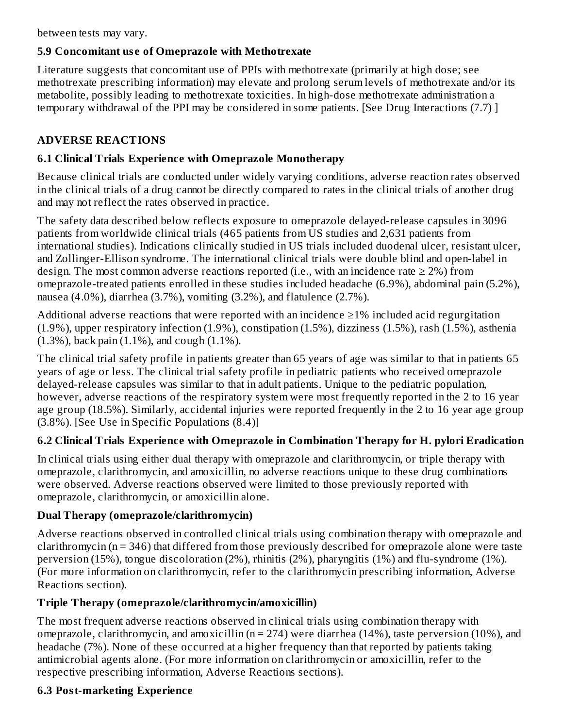between tests may vary.

## **5.9 Concomitant us e of Omeprazole with Methotrexate**

Literature suggests that concomitant use of PPIs with methotrexate (primarily at high dose; see methotrexate prescribing information) may elevate and prolong serum levels of methotrexate and/or its metabolite, possibly leading to methotrexate toxicities. In high-dose methotrexate administration a temporary withdrawal of the PPI may be considered in some patients. [See Drug Interactions (7.7) ]

## **ADVERSE REACTIONS**

## **6.1 Clinical Trials Experience with Omeprazole Monotherapy**

Because clinical trials are conducted under widely varying conditions, adverse reaction rates observed in the clinical trials of a drug cannot be directly compared to rates in the clinical trials of another drug and may not reflect the rates observed in practice.

The safety data described below reflects exposure to omeprazole delayed-release capsules in 3096 patients from worldwide clinical trials (465 patients from US studies and 2,631 patients from international studies). Indications clinically studied in US trials included duodenal ulcer, resistant ulcer, and Zollinger-Ellison syndrome. The international clinical trials were double blind and open-label in design. The most common adverse reactions reported (i.e., with an incidence rate  $\geq 2\%$ ) from omeprazole-treated patients enrolled in these studies included headache (6.9%), abdominal pain (5.2%), nausea (4.0%), diarrhea (3.7%), vomiting (3.2%), and flatulence (2.7%).

Additional adverse reactions that were reported with an incidence  $\geq$ 1% included acid regurgitation (1.9%), upper respiratory infection (1.9%), constipation (1.5%), dizziness (1.5%), rash (1.5%), asthenia (1.3%), back pain (1.1%), and cough (1.1%).

The clinical trial safety profile in patients greater than 65 years of age was similar to that in patients 65 years of age or less. The clinical trial safety profile in pediatric patients who received omeprazole delayed-release capsules was similar to that in adult patients. Unique to the pediatric population, however, adverse reactions of the respiratory system were most frequently reported in the 2 to 16 year age group (18.5%). Similarly, accidental injuries were reported frequently in the 2 to 16 year age group (3.8%). [See Use in Specific Populations (8.4)]

## **6.2 Clinical Trials Experience with Omeprazole in Combination Therapy for H. pylori Eradication**

In clinical trials using either dual therapy with omeprazole and clarithromycin, or triple therapy with omeprazole, clarithromycin, and amoxicillin, no adverse reactions unique to these drug combinations were observed. Adverse reactions observed were limited to those previously reported with omeprazole, clarithromycin, or amoxicillin alone.

## **Dual Therapy (omeprazole/clarithromycin)**

Adverse reactions observed in controlled clinical trials using combination therapy with omeprazole and clarithromycin (n = 346) that differed from those previously described for omeprazole alone were taste perversion (15%), tongue discoloration (2%), rhinitis (2%), pharyngitis (1%) and flu-syndrome (1%). (For more information on clarithromycin, refer to the clarithromycin prescribing information, Adverse Reactions section).

## **Triple Therapy (omeprazole/clarithromycin/amoxicillin)**

The most frequent adverse reactions observed in clinical trials using combination therapy with omeprazole, clarithromycin, and amoxicillin ( $n = 274$ ) were diarrhea (14%), taste perversion (10%), and headache (7%). None of these occurred at a higher frequency than that reported by patients taking antimicrobial agents alone. (For more information on clarithromycin or amoxicillin, refer to the respective prescribing information, Adverse Reactions sections).

## **6.3 Post-marketing Experience**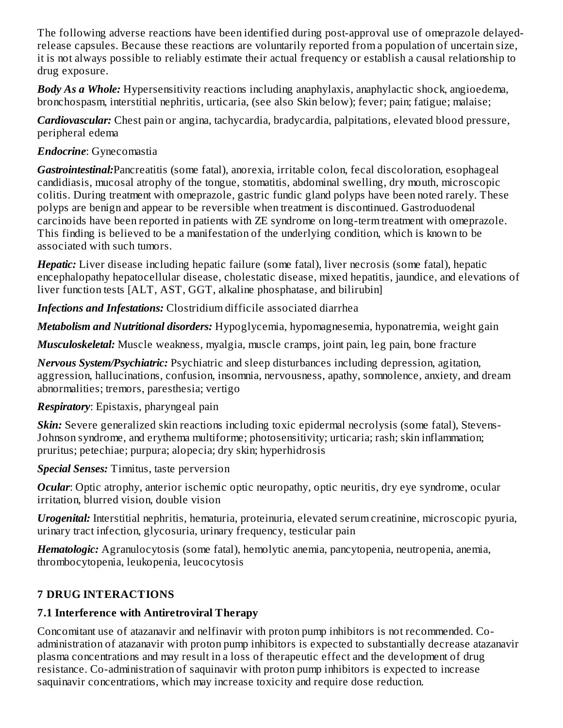The following adverse reactions have been identified during post-approval use of omeprazole delayedrelease capsules. Because these reactions are voluntarily reported from a population of uncertain size, it is not always possible to reliably estimate their actual frequency or establish a causal relationship to drug exposure.

*Body As a Whole:* Hypersensitivity reactions including anaphylaxis, anaphylactic shock, angioedema, bronchospasm, interstitial nephritis, urticaria, (see also Skin below); fever; pain; fatigue; malaise;

*Cardiovascular:* Chest pain or angina, tachycardia, bradycardia, palpitations, elevated blood pressure, peripheral edema

#### *Endocrine*: Gynecomastia

*Gastrointestinal:*Pancreatitis (some fatal), anorexia, irritable colon, fecal discoloration, esophageal candidiasis, mucosal atrophy of the tongue, stomatitis, abdominal swelling, dry mouth, microscopic colitis. During treatment with omeprazole, gastric fundic gland polyps have been noted rarely. These polyps are benign and appear to be reversible when treatment is discontinued. Gastroduodenal carcinoids have been reported in patients with ZE syndrome on long-term treatment with omeprazole. This finding is believed to be a manifestation of the underlying condition, which is known to be associated with such tumors.

*Hepatic:* Liver disease including hepatic failure (some fatal), liver necrosis (some fatal), hepatic encephalopathy hepatocellular disease, cholestatic disease, mixed hepatitis, jaundice, and elevations of liver function tests [ALT, AST, GGT, alkaline phosphatase, and bilirubin]

*Infections and Infestations:* Clostridium difficile associated diarrhea

*Metabolism and Nutritional disorders:* Hypoglycemia, hypomagnesemia, hyponatremia, weight gain

*Musculoskeletal:* Muscle weakness, myalgia, muscle cramps, joint pain, leg pain, bone fracture

*Nervous System/Psychiatric:* Psychiatric and sleep disturbances including depression, agitation, aggression, hallucinations, confusion, insomnia, nervousness, apathy, somnolence, anxiety, and dream abnormalities; tremors, paresthesia; vertigo

## *Respiratory*: Epistaxis, pharyngeal pain

*Skin:* Severe generalized skin reactions including toxic epidermal necrolysis (some fatal), Stevens-Johnson syndrome, and erythema multiforme; photosensitivity; urticaria; rash; skin inflammation; pruritus; petechiae; purpura; alopecia; dry skin; hyperhidrosis

*Special Senses:* Tinnitus, taste perversion

*Ocular*: Optic atrophy, anterior ischemic optic neuropathy, optic neuritis, dry eye syndrome, ocular irritation, blurred vision, double vision

*Urogenital:* Interstitial nephritis, hematuria, proteinuria, elevated serum creatinine, microscopic pyuria, urinary tract infection, glycosuria, urinary frequency, testicular pain

*Hematologic:* Agranulocytosis (some fatal), hemolytic anemia, pancytopenia, neutropenia, anemia, thrombocytopenia, leukopenia, leucocytosis

## **7 DRUG INTERACTIONS**

## **7.1 Interference with Antiretroviral Therapy**

Concomitant use of atazanavir and nelfinavir with proton pump inhibitors is not recommended. Coadministration of atazanavir with proton pump inhibitors is expected to substantially decrease atazanavir plasma concentrations and may result in a loss of therapeutic effect and the development of drug resistance. Co-administration of saquinavir with proton pump inhibitors is expected to increase saquinavir concentrations, which may increase toxicity and require dose reduction.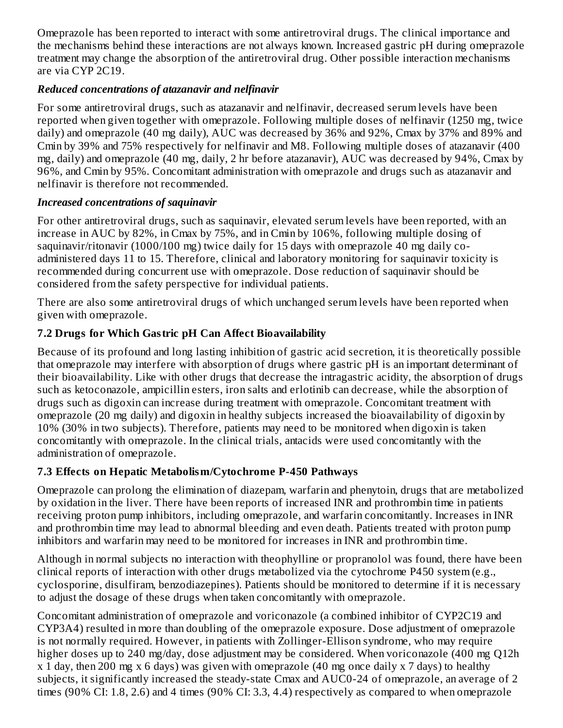Omeprazole has been reported to interact with some antiretroviral drugs. The clinical importance and the mechanisms behind these interactions are not always known. Increased gastric pH during omeprazole treatment may change the absorption of the antiretroviral drug. Other possible interaction mechanisms are via CYP 2C19.

## *Reduced concentrations of atazanavir and nelfinavir*

For some antiretroviral drugs, such as atazanavir and nelfinavir, decreased serum levels have been reported when given together with omeprazole. Following multiple doses of nelfinavir (1250 mg, twice daily) and omeprazole (40 mg daily), AUC was decreased by 36% and 92%, Cmax by 37% and 89% and Cmin by 39% and 75% respectively for nelfinavir and M8. Following multiple doses of atazanavir (400 mg, daily) and omeprazole (40 mg, daily, 2 hr before atazanavir), AUC was decreased by 94%, Cmax by 96%, and Cmin by 95%. Concomitant administration with omeprazole and drugs such as atazanavir and nelfinavir is therefore not recommended.

#### *Increased concentrations of saquinavir*

For other antiretroviral drugs, such as saquinavir, elevated serum levels have been reported, with an increase in AUC by 82%, in Cmax by 75%, and in Cmin by 106%, following multiple dosing of saquinavir/ritonavir (1000/100 mg) twice daily for 15 days with omeprazole 40 mg daily coadministered days 11 to 15. Therefore, clinical and laboratory monitoring for saquinavir toxicity is recommended during concurrent use with omeprazole. Dose reduction of saquinavir should be considered from the safety perspective for individual patients.

There are also some antiretroviral drugs of which unchanged serum levels have been reported when given with omeprazole.

## **7.2 Drugs for Which Gastric pH Can Affect Bioavailability**

Because of its profound and long lasting inhibition of gastric acid secretion, it is theoretically possible that omeprazole may interfere with absorption of drugs where gastric pH is an important determinant of their bioavailability. Like with other drugs that decrease the intragastric acidity, the absorption of drugs such as ketoconazole, ampicillin esters, iron salts and erlotinib can decrease, while the absorption of drugs such as digoxin can increase during treatment with omeprazole. Concomitant treatment with omeprazole (20 mg daily) and digoxin in healthy subjects increased the bioavailability of digoxin by 10% (30% in two subjects). Therefore, patients may need to be monitored when digoxin is taken concomitantly with omeprazole. In the clinical trials, antacids were used concomitantly with the administration of omeprazole.

## **7.3 Effects on Hepatic Metabolism/Cytochrome P-450 Pathways**

Omeprazole can prolong the elimination of diazepam, warfarin and phenytoin, drugs that are metabolized by oxidation in the liver. There have been reports of increased INR and prothrombin time in patients receiving proton pump inhibitors, including omeprazole, and warfarin concomitantly. Increases in INR and prothrombin time may lead to abnormal bleeding and even death. Patients treated with proton pump inhibitors and warfarin may need to be monitored for increases in INR and prothrombin time.

Although in normal subjects no interaction with theophylline or propranolol was found, there have been clinical reports of interaction with other drugs metabolized via the cytochrome P450 system (e.g., cyclosporine, disulfiram, benzodiazepines). Patients should be monitored to determine if it is necessary to adjust the dosage of these drugs when taken concomitantly with omeprazole.

Concomitant administration of omeprazole and voriconazole (a combined inhibitor of CYP2C19 and CYP3A4) resulted in more than doubling of the omeprazole exposure. Dose adjustment of omeprazole is not normally required. However, in patients with Zollinger-Ellison syndrome, who may require higher doses up to 240 mg/day, dose adjustment may be considered. When voriconazole (400 mg Q12h x 1 day, then 200 mg x 6 days) was given with omeprazole (40 mg once daily x 7 days) to healthy subjects, it significantly increased the steady-state Cmax and AUC0-24 of omeprazole, an average of 2 times (90% CI: 1.8, 2.6) and 4 times (90% CI: 3.3, 4.4) respectively as compared to when omeprazole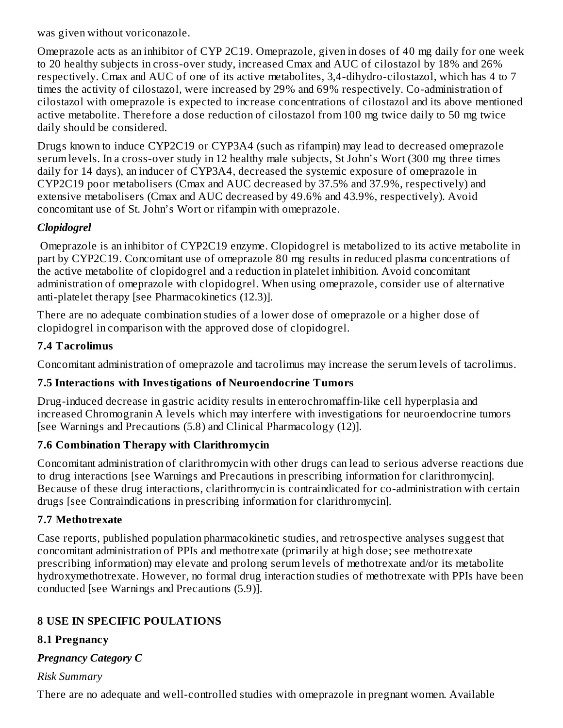was given without voriconazole.

Omeprazole acts as an inhibitor of CYP 2C19. Omeprazole, given in doses of 40 mg daily for one week to 20 healthy subjects in cross-over study, increased Cmax and AUC of cilostazol by 18% and 26% respectively. Cmax and AUC of one of its active metabolites, 3,4-dihydro-cilostazol, which has 4 to 7 times the activity of cilostazol, were increased by 29% and 69% respectively. Co-administration of cilostazol with omeprazole is expected to increase concentrations of cilostazol and its above mentioned active metabolite. Therefore a dose reduction of cilostazol from 100 mg twice daily to 50 mg twice daily should be considered.

Drugs known to induce CYP2C19 or CYP3A4 (such as rifampin) may lead to decreased omeprazole serum levels. In a cross-over study in 12 healthy male subjects, St John's Wort (300 mg three times daily for 14 days), an inducer of CYP3A4, decreased the systemic exposure of omeprazole in CYP2C19 poor metabolisers (Cmax and AUC decreased by 37.5% and 37.9%, respectively) and extensive metabolisers (Cmax and AUC decreased by 49.6% and 43.9%, respectively). Avoid concomitant use of St. John's Wort or rifampin with omeprazole.

## *Clopidogrel*

Omeprazole is an inhibitor of CYP2C19 enzyme. Clopidogrel is metabolized to its active metabolite in part by CYP2C19. Concomitant use of omeprazole 80 mg results in reduced plasma concentrations of the active metabolite of clopidogrel and a reduction in platelet inhibition. Avoid concomitant administration of omeprazole with clopidogrel. When using omeprazole, consider use of alternative anti-platelet therapy [see Pharmacokinetics (12.3)].

There are no adequate combination studies of a lower dose of omeprazole or a higher dose of clopidogrel in comparison with the approved dose of clopidogrel.

#### **7.4 Tacrolimus**

Concomitant administration of omeprazole and tacrolimus may increase the serum levels of tacrolimus.

## **7.5 Interactions with Investigations of Neuroendocrine Tumors**

Drug-induced decrease in gastric acidity results in enterochromaffin-like cell hyperplasia and increased Chromogranin A levels which may interfere with investigations for neuroendocrine tumors [see Warnings and Precautions (5.8) and Clinical Pharmacology (12)].

## **7.6 Combination Therapy with Clarithromycin**

Concomitant administration of clarithromycin with other drugs can lead to serious adverse reactions due to drug interactions [see Warnings and Precautions in prescribing information for clarithromycin]. Because of these drug interactions, clarithromycin is contraindicated for co-administration with certain drugs [see Contraindications in prescribing information for clarithromycin].

## **7.7 Methotrexate**

Case reports, published population pharmacokinetic studies, and retrospective analyses suggest that concomitant administration of PPIs and methotrexate (primarily at high dose; see methotrexate prescribing information) may elevate and prolong serum levels of methotrexate and/or its metabolite hydroxymethotrexate. However, no formal drug interaction studies of methotrexate with PPIs have been conducted [see Warnings and Precautions (5.9)].

## **8 USE IN SPECIFIC POULATIONS**

## **8.1 Pregnancy**

## *Pregnancy Category C*

*Risk Summary*

There are no adequate and well-controlled studies with omeprazole in pregnant women. Available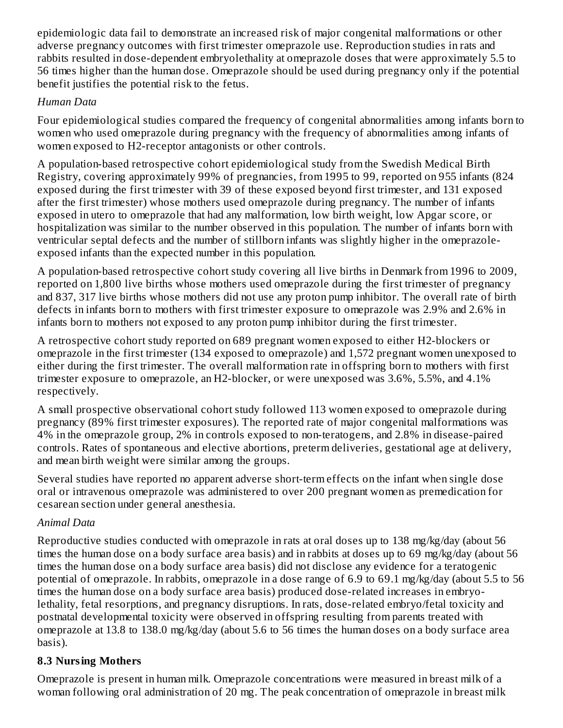epidemiologic data fail to demonstrate an increased risk of major congenital malformations or other adverse pregnancy outcomes with first trimester omeprazole use. Reproduction studies in rats and rabbits resulted in dose-dependent embryolethality at omeprazole doses that were approximately 5.5 to 56 times higher than the human dose. Omeprazole should be used during pregnancy only if the potential benefit justifies the potential risk to the fetus.

#### *Human Data*

Four epidemiological studies compared the frequency of congenital abnormalities among infants born to women who used omeprazole during pregnancy with the frequency of abnormalities among infants of women exposed to H2-receptor antagonists or other controls.

A population-based retrospective cohort epidemiological study from the Swedish Medical Birth Registry, covering approximately 99% of pregnancies, from 1995 to 99, reported on 955 infants (824 exposed during the first trimester with 39 of these exposed beyond first trimester, and 131 exposed after the first trimester) whose mothers used omeprazole during pregnancy. The number of infants exposed in utero to omeprazole that had any malformation, low birth weight, low Apgar score, or hospitalization was similar to the number observed in this population. The number of infants born with ventricular septal defects and the number of stillborn infants was slightly higher in the omeprazoleexposed infants than the expected number in this population.

A population-based retrospective cohort study covering all live births in Denmark from 1996 to 2009, reported on 1,800 live births whose mothers used omeprazole during the first trimester of pregnancy and 837, 317 live births whose mothers did not use any proton pump inhibitor. The overall rate of birth defects in infants born to mothers with first trimester exposure to omeprazole was 2.9% and 2.6% in infants born to mothers not exposed to any proton pump inhibitor during the first trimester.

A retrospective cohort study reported on 689 pregnant women exposed to either H2-blockers or omeprazole in the first trimester (134 exposed to omeprazole) and 1,572 pregnant women unexposed to either during the first trimester. The overall malformation rate in offspring born to mothers with first trimester exposure to omeprazole, an H2-blocker, or were unexposed was 3.6%, 5.5%, and 4.1% respectively.

A small prospective observational cohort study followed 113 women exposed to omeprazole during pregnancy (89% first trimester exposures). The reported rate of major congenital malformations was 4% in the omeprazole group, 2% in controls exposed to non-teratogens, and 2.8% in disease-paired controls. Rates of spontaneous and elective abortions, preterm deliveries, gestational age at delivery, and mean birth weight were similar among the groups.

Several studies have reported no apparent adverse short-term effects on the infant when single dose oral or intravenous omeprazole was administered to over 200 pregnant women as premedication for cesarean section under general anesthesia.

## *Animal Data*

Reproductive studies conducted with omeprazole in rats at oral doses up to 138 mg/kg/day (about 56 times the human dose on a body surface area basis) and in rabbits at doses up to 69 mg/kg/day (about 56 times the human dose on a body surface area basis) did not disclose any evidence for a teratogenic potential of omeprazole. In rabbits, omeprazole in a dose range of 6.9 to 69.1 mg/kg/day (about 5.5 to 56 times the human dose on a body surface area basis) produced dose-related increases in embryolethality, fetal resorptions, and pregnancy disruptions. In rats, dose-related embryo/fetal toxicity and postnatal developmental toxicity were observed in offspring resulting from parents treated with omeprazole at 13.8 to 138.0 mg/kg/day (about 5.6 to 56 times the human doses on a body surface area basis).

## **8.3 Nursing Mothers**

Omeprazole is present in human milk. Omeprazole concentrations were measured in breast milk of a woman following oral administration of 20 mg. The peak concentration of omeprazole in breast milk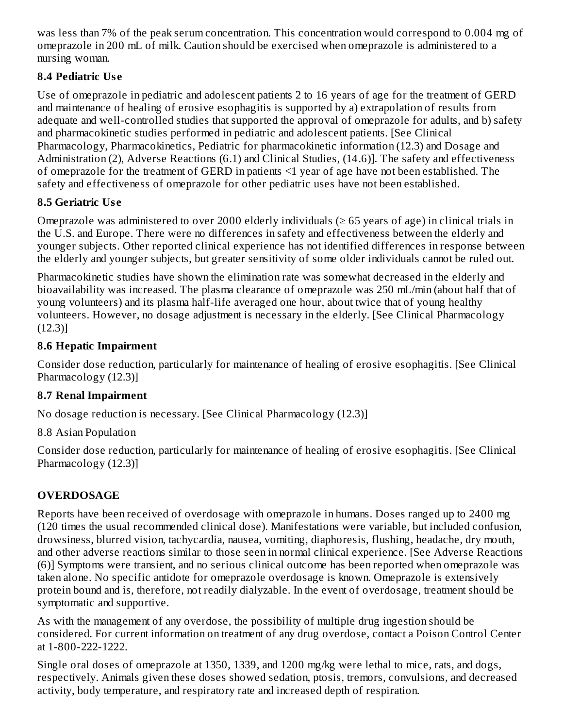was less than 7% of the peak serum concentration. This concentration would correspond to 0.004 mg of omeprazole in 200 mL of milk. Caution should be exercised when omeprazole is administered to a nursing woman.

## **8.4 Pediatric Us e**

Use of omeprazole in pediatric and adolescent patients 2 to 16 years of age for the treatment of GERD and maintenance of healing of erosive esophagitis is supported by a) extrapolation of results from adequate and well-controlled studies that supported the approval of omeprazole for adults, and b) safety and pharmacokinetic studies performed in pediatric and adolescent patients. [See Clinical Pharmacology, Pharmacokinetics, Pediatric for pharmacokinetic information (12.3) and Dosage and Administration (2), Adverse Reactions (6.1) and Clinical Studies, (14.6)]. The safety and effectiveness of omeprazole for the treatment of GERD in patients <1 year of age have not been established. The safety and effectiveness of omeprazole for other pediatric uses have not been established.

## **8.5 Geriatric Us e**

Omeprazole was administered to over 2000 elderly individuals  $(≥ 65$  years of age) in clinical trials in the U.S. and Europe. There were no differences in safety and effectiveness between the elderly and younger subjects. Other reported clinical experience has not identified differences in response between the elderly and younger subjects, but greater sensitivity of some older individuals cannot be ruled out.

Pharmacokinetic studies have shown the elimination rate was somewhat decreased in the elderly and bioavailability was increased. The plasma clearance of omeprazole was 250 mL/min (about half that of young volunteers) and its plasma half-life averaged one hour, about twice that of young healthy volunteers. However, no dosage adjustment is necessary in the elderly. [See Clinical Pharmacology (12.3)]

## **8.6 Hepatic Impairment**

Consider dose reduction, particularly for maintenance of healing of erosive esophagitis. [See Clinical Pharmacology (12.3)]

## **8.7 Renal Impairment**

No dosage reduction is necessary. [See Clinical Pharmacology (12.3)]

8.8 Asian Population

Consider dose reduction, particularly for maintenance of healing of erosive esophagitis. [See Clinical Pharmacology (12.3)]

## **OVERDOSAGE**

Reports have been received of overdosage with omeprazole in humans. Doses ranged up to 2400 mg (120 times the usual recommended clinical dose). Manifestations were variable, but included confusion, drowsiness, blurred vision, tachycardia, nausea, vomiting, diaphoresis, flushing, headache, dry mouth, and other adverse reactions similar to those seen in normal clinical experience. [See Adverse Reactions (6)] Symptoms were transient, and no serious clinical outcome has been reported when omeprazole was taken alone. No specific antidote for omeprazole overdosage is known. Omeprazole is extensively protein bound and is, therefore, not readily dialyzable. In the event of overdosage, treatment should be symptomatic and supportive.

As with the management of any overdose, the possibility of multiple drug ingestion should be considered. For current information on treatment of any drug overdose, contact a Poison Control Center at 1-800-222-1222.

Single oral doses of omeprazole at 1350, 1339, and 1200 mg/kg were lethal to mice, rats, and dogs, respectively. Animals given these doses showed sedation, ptosis, tremors, convulsions, and decreased activity, body temperature, and respiratory rate and increased depth of respiration.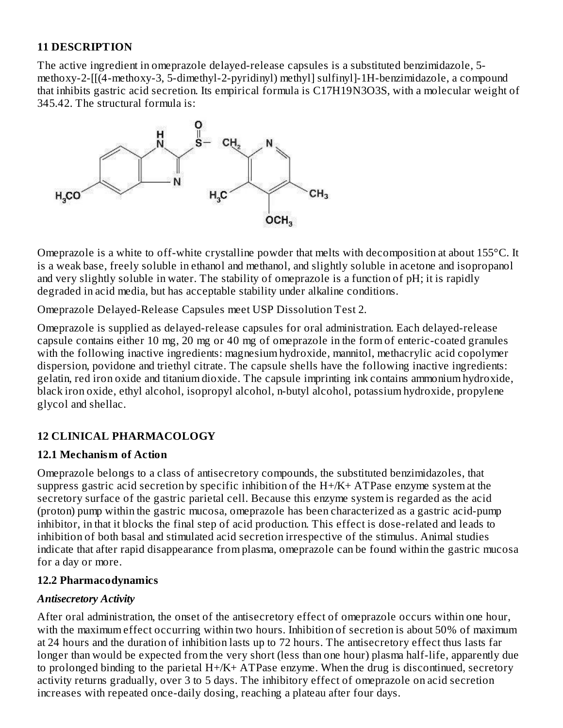#### **11 DESCRIPTION**

The active ingredient in omeprazole delayed-release capsules is a substituted benzimidazole, 5 methoxy-2-[[(4-methoxy-3, 5-dimethyl-2-pyridinyl) methyl] sulfinyl]-1H-benzimidazole, a compound that inhibits gastric acid secretion. Its empirical formula is C17H19N3O3S, with a molecular weight of 345.42. The structural formula is:



Omeprazole is a white to off-white crystalline powder that melts with decomposition at about 155°C. It is a weak base, freely soluble in ethanol and methanol, and slightly soluble in acetone and isopropanol and very slightly soluble in water. The stability of omeprazole is a function of pH; it is rapidly degraded in acid media, but has acceptable stability under alkaline conditions.

Omeprazole Delayed-Release Capsules meet USP Dissolution Test 2.

Omeprazole is supplied as delayed-release capsules for oral administration. Each delayed-release capsule contains either 10 mg, 20 mg or 40 mg of omeprazole in the form of enteric-coated granules with the following inactive ingredients: magnesium hydroxide, mannitol, methacrylic acid copolymer dispersion, povidone and triethyl citrate. The capsule shells have the following inactive ingredients: gelatin, red iron oxide and titanium dioxide. The capsule imprinting ink contains ammonium hydroxide, black iron oxide, ethyl alcohol, isopropyl alcohol, n-butyl alcohol, potassium hydroxide, propylene glycol and shellac.

#### **12 CLINICAL PHARMACOLOGY**

#### **12.1 Mechanism of Action**

Omeprazole belongs to a class of antisecretory compounds, the substituted benzimidazoles, that suppress gastric acid secretion by specific inhibition of the  $H + / K + ATP$  ase enzyme system at the secretory surface of the gastric parietal cell. Because this enzyme system is regarded as the acid (proton) pump within the gastric mucosa, omeprazole has been characterized as a gastric acid-pump inhibitor, in that it blocks the final step of acid production. This effect is dose-related and leads to inhibition of both basal and stimulated acid secretion irrespective of the stimulus. Animal studies indicate that after rapid disappearance from plasma, omeprazole can be found within the gastric mucosa for a day or more.

#### **12.2 Pharmacodynamics**

#### *Antisecretory Activity*

After oral administration, the onset of the antisecretory effect of omeprazole occurs within one hour, with the maximum effect occurring within two hours. Inhibition of secretion is about 50% of maximum at 24 hours and the duration of inhibition lasts up to 72 hours. The antisecretory effect thus lasts far longer than would be expected from the very short (less than one hour) plasma half-life, apparently due to prolonged binding to the parietal H+/K+ ATPase enzyme. When the drug is discontinued, secretory activity returns gradually, over 3 to 5 days. The inhibitory effect of omeprazole on acid secretion increases with repeated once-daily dosing, reaching a plateau after four days.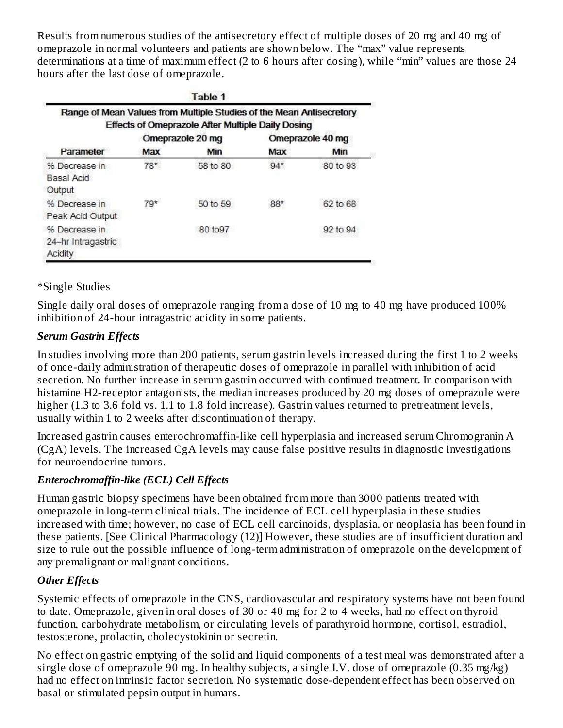Results from numerous studies of the antisecretory effect of multiple doses of 20 mg and 40 mg of omeprazole in normal volunteers and patients are shown below. The "max" value represents determinations at a time of maximum effect (2 to 6 hours after dosing), while "min" values are those 24 hours after the last dose of omeprazole.

|                                                |       | Table 1<br>Range of Mean Values from Multiple Studies of the Mean Antisecretory<br><b>Effects of Omeprazole After Multiple Daily Dosing</b> |       |                  |
|------------------------------------------------|-------|---------------------------------------------------------------------------------------------------------------------------------------------|-------|------------------|
|                                                |       | Omeprazole 20 mg                                                                                                                            |       | Omeprazole 40 mg |
| Parameter                                      | Max   | Min                                                                                                                                         | Max   | Min              |
| % Decrease in<br>Basal Acid<br><b>Output</b>   | $78*$ | 58 to 80                                                                                                                                    | $94*$ | 80 to 93         |
| % Decrease in<br>Peak Acid Output              | $79*$ | 50 to 59                                                                                                                                    | 88*   | 62 to 68         |
| % Decrease in<br>24-hr Intragastric<br>Acidity |       | 80 to 97                                                                                                                                    |       | 92 to 94         |

#### \*Single Studies

Single daily oral doses of omeprazole ranging from a dose of 10 mg to 40 mg have produced 100% inhibition of 24-hour intragastric acidity in some patients.

## *Serum Gastrin Effects*

In studies involving more than 200 patients, serum gastrin levels increased during the first 1 to 2 weeks of once-daily administration of therapeutic doses of omeprazole in parallel with inhibition of acid secretion. No further increase in serum gastrin occurred with continued treatment. In comparison with histamine H2-receptor antagonists, the median increases produced by 20 mg doses of omeprazole were higher (1.3 to 3.6 fold vs. 1.1 to 1.8 fold increase). Gastrin values returned to pretreatment levels, usually within 1 to 2 weeks after discontinuation of therapy.

Increased gastrin causes enterochromaffin-like cell hyperplasia and increased serum Chromogranin A (CgA) levels. The increased CgA levels may cause false positive results in diagnostic investigations for neuroendocrine tumors.

## *Enterochromaffin-like (ECL) Cell Effects*

Human gastric biopsy specimens have been obtained from more than 3000 patients treated with omeprazole in long-term clinical trials. The incidence of ECL cell hyperplasia in these studies increased with time; however, no case of ECL cell carcinoids, dysplasia, or neoplasia has been found in these patients. [See Clinical Pharmacology (12)] However, these studies are of insufficient duration and size to rule out the possible influence of long-term administration of omeprazole on the development of any premalignant or malignant conditions.

## *Other Effects*

Systemic effects of omeprazole in the CNS, cardiovascular and respiratory systems have not been found to date. Omeprazole, given in oral doses of 30 or 40 mg for 2 to 4 weeks, had no effect on thyroid function, carbohydrate metabolism, or circulating levels of parathyroid hormone, cortisol, estradiol, testosterone, prolactin, cholecystokinin or secretin.

No effect on gastric emptying of the solid and liquid components of a test meal was demonstrated after a single dose of omeprazole 90 mg. In healthy subjects, a single I.V. dose of omeprazole (0.35 mg/kg) had no effect on intrinsic factor secretion. No systematic dose-dependent effect has been observed on basal or stimulated pepsin output in humans.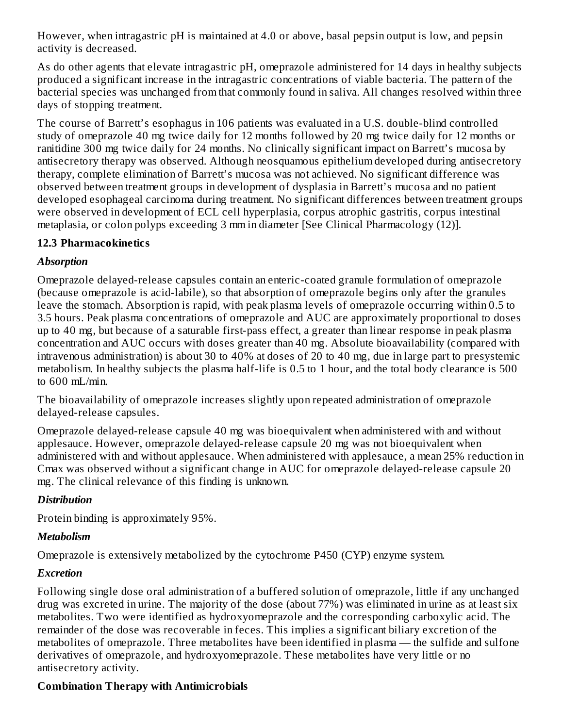However, when intragastric pH is maintained at 4.0 or above, basal pepsin output is low, and pepsin activity is decreased.

As do other agents that elevate intragastric pH, omeprazole administered for 14 days in healthy subjects produced a significant increase in the intragastric concentrations of viable bacteria. The pattern of the bacterial species was unchanged from that commonly found in saliva. All changes resolved within three days of stopping treatment.

The course of Barrett's esophagus in 106 patients was evaluated in a U.S. double-blind controlled study of omeprazole 40 mg twice daily for 12 months followed by 20 mg twice daily for 12 months or ranitidine 300 mg twice daily for 24 months. No clinically significant impact on Barrett's mucosa by antisecretory therapy was observed. Although neosquamous epithelium developed during antisecretory therapy, complete elimination of Barrett's mucosa was not achieved. No significant difference was observed between treatment groups in development of dysplasia in Barrett's mucosa and no patient developed esophageal carcinoma during treatment. No significant differences between treatment groups were observed in development of ECL cell hyperplasia, corpus atrophic gastritis, corpus intestinal metaplasia, or colon polyps exceeding 3 mm in diameter [See Clinical Pharmacology (12)].

#### **12.3 Pharmacokinetics**

## *Absorption*

Omeprazole delayed-release capsules contain an enteric-coated granule formulation of omeprazole (because omeprazole is acid-labile), so that absorption of omeprazole begins only after the granules leave the stomach. Absorption is rapid, with peak plasma levels of omeprazole occurring within 0.5 to 3.5 hours. Peak plasma concentrations of omeprazole and AUC are approximately proportional to doses up to 40 mg, but because of a saturable first-pass effect, a greater than linear response in peak plasma concentration and AUC occurs with doses greater than 40 mg. Absolute bioavailability (compared with intravenous administration) is about 30 to 40% at doses of 20 to 40 mg, due in large part to presystemic metabolism. In healthy subjects the plasma half-life is 0.5 to 1 hour, and the total body clearance is 500 to 600 mL/min.

The bioavailability of omeprazole increases slightly upon repeated administration of omeprazole delayed-release capsules.

Omeprazole delayed-release capsule 40 mg was bioequivalent when administered with and without applesauce. However, omeprazole delayed-release capsule 20 mg was not bioequivalent when administered with and without applesauce. When administered with applesauce, a mean 25% reduction in Cmax was observed without a significant change in AUC for omeprazole delayed-release capsule 20 mg. The clinical relevance of this finding is unknown.

## *Distribution*

Protein binding is approximately 95%.

## *Metabolism*

Omeprazole is extensively metabolized by the cytochrome P450 (CYP) enzyme system.

## *Excretion*

Following single dose oral administration of a buffered solution of omeprazole, little if any unchanged drug was excreted in urine. The majority of the dose (about 77%) was eliminated in urine as at least six metabolites. Two were identified as hydroxyomeprazole and the corresponding carboxylic acid. The remainder of the dose was recoverable in feces. This implies a significant biliary excretion of the metabolites of omeprazole. Three metabolites have been identified in plasma — the sulfide and sulfone derivatives of omeprazole, and hydroxyomeprazole. These metabolites have very little or no antisecretory activity.

## **Combination Therapy with Antimicrobials**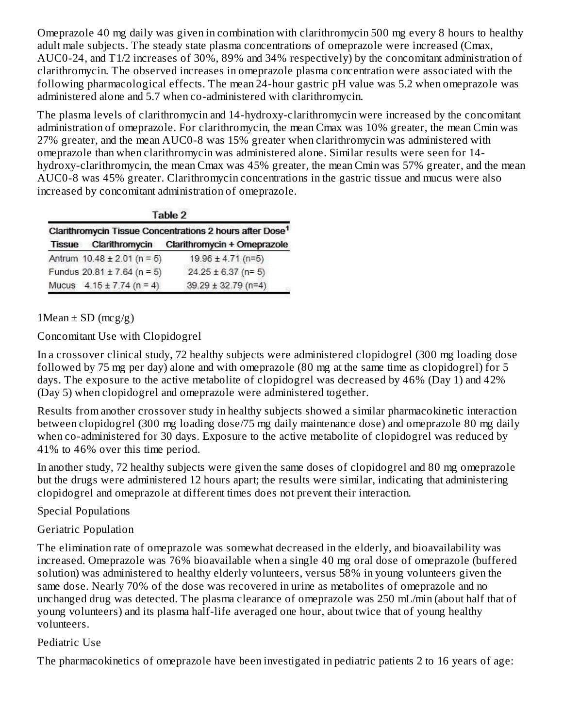Omeprazole 40 mg daily was given in combination with clarithromycin 500 mg every 8 hours to healthy adult male subjects. The steady state plasma concentrations of omeprazole were increased (Cmax, AUC0-24, and T1/2 increases of 30%, 89% and 34% respectively) by the concomitant administration of clarithromycin. The observed increases in omeprazole plasma concentration were associated with the following pharmacological effects. The mean 24-hour gastric pH value was 5.2 when omeprazole was administered alone and 5.7 when co-administered with clarithromycin.

The plasma levels of clarithromycin and 14-hydroxy-clarithromycin were increased by the concomitant administration of omeprazole. For clarithromycin, the mean Cmax was 10% greater, the mean Cmin was 27% greater, and the mean AUC0-8 was 15% greater when clarithromycin was administered with omeprazole than when clarithromycin was administered alone. Similar results were seen for 14 hydroxy-clarithromycin, the mean Cmax was 45% greater, the mean Cmin was 57% greater, and the mean AUC0-8 was 45% greater. Clarithromycin concentrations in the gastric tissue and mucus were also increased by concomitant administration of omeprazole.

|  | Table |  |
|--|-------|--|
|  |       |  |

| Clarithromycin Tissue Concentrations 2 hours after Dose <sup>1</sup> |                                 |                             |  |
|----------------------------------------------------------------------|---------------------------------|-----------------------------|--|
| <b>Tissue</b>                                                        | Clarithromycin                  | Clarithromycin + Omeprazole |  |
|                                                                      | Antrum $10.48 \pm 2.01$ (n = 5) | 19.96 ± 4.71 (n=5)          |  |
|                                                                      | Fundus $20.81 \pm 7.64$ (n = 5) | $24.25 \pm 6.37$ (n= 5)     |  |
|                                                                      | Mucus $4.15 \pm 7.74$ (n = 4)   | $39.29 \pm 32.79$ (n=4)     |  |

1Mean  $\pm$  SD (mcg/g)

Concomitant Use with Clopidogrel

In a crossover clinical study, 72 healthy subjects were administered clopidogrel (300 mg loading dose followed by 75 mg per day) alone and with omeprazole (80 mg at the same time as clopidogrel) for 5 days. The exposure to the active metabolite of clopidogrel was decreased by 46% (Day 1) and 42% (Day 5) when clopidogrel and omeprazole were administered together.

Results from another crossover study in healthy subjects showed a similar pharmacokinetic interaction between clopidogrel (300 mg loading dose/75 mg daily maintenance dose) and omeprazole 80 mg daily when co-administered for 30 days. Exposure to the active metabolite of clopidogrel was reduced by 41% to 46% over this time period.

In another study, 72 healthy subjects were given the same doses of clopidogrel and 80 mg omeprazole but the drugs were administered 12 hours apart; the results were similar, indicating that administering clopidogrel and omeprazole at different times does not prevent their interaction.

## Special Populations

## Geriatric Population

The elimination rate of omeprazole was somewhat decreased in the elderly, and bioavailability was increased. Omeprazole was 76% bioavailable when a single 40 mg oral dose of omeprazole (buffered solution) was administered to healthy elderly volunteers, versus 58% in young volunteers given the same dose. Nearly 70% of the dose was recovered in urine as metabolites of omeprazole and no unchanged drug was detected. The plasma clearance of omeprazole was 250 mL/min (about half that of young volunteers) and its plasma half-life averaged one hour, about twice that of young healthy volunteers.

## Pediatric Use

The pharmacokinetics of omeprazole have been investigated in pediatric patients 2 to 16 years of age: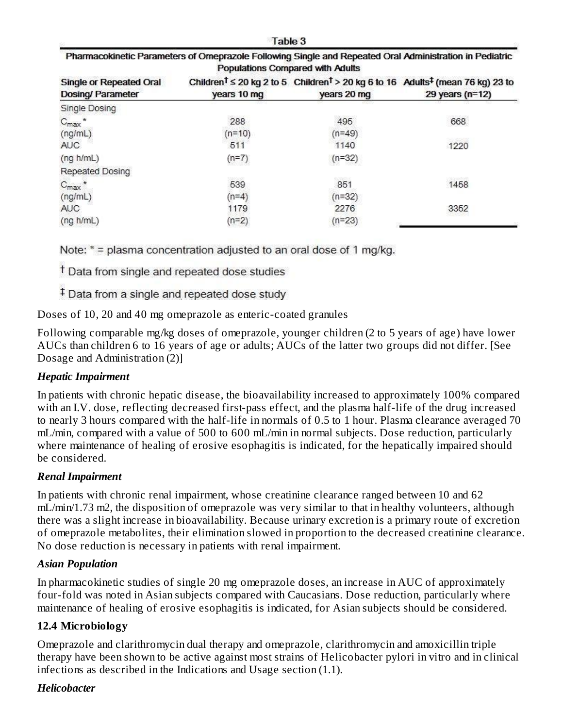Table 3

| Pharmacokinetic Parameters of Omeprazole Following Single and Repeated Oral Administration in Pediatric |
|---------------------------------------------------------------------------------------------------------|
| Populations Compared with Adults                                                                        |

| <b>Single or Repeated Oral</b><br>Dosing/ Parameter | years 10 mg | years 20 mg | Children <sup>t</sup> $\leq$ 20 kg 2 to 5 Children <sup>t</sup> > 20 kg 6 to 16 Adults <sup>‡</sup> (mean 76 kg) 23 to<br>29 years ( $n=12$ ) |
|-----------------------------------------------------|-------------|-------------|-----------------------------------------------------------------------------------------------------------------------------------------------|
| Single Dosing                                       |             |             |                                                                                                                                               |
| $C_{\text{max}}$ *                                  | 288         | 495         | 668                                                                                                                                           |
| (ng/mL)                                             | $(n=10)$    | $(n=49)$    |                                                                                                                                               |
| AUC.                                                | 511         | 1140        | 1220                                                                                                                                          |
| (ng h/mL)                                           | $(n=7)$     | $(n=32)$    |                                                                                                                                               |
| Repeated Dosing                                     |             |             |                                                                                                                                               |
| $C_{\text{max}}$ *                                  | 539         | 851         | 1458                                                                                                                                          |
| (ng/mL)                                             | $(n=4)$     | $(n=32)$    |                                                                                                                                               |
| AUC.                                                | 1179        | 2276        | 3352                                                                                                                                          |
| (ng h/mL)                                           | $(n=2)$     | $(n=23)$    |                                                                                                                                               |

Note: \* = plasma concentration adjusted to an oral dose of 1 mg/kg.

<sup>†</sup> Data from single and repeated dose studies

<sup>‡</sup> Data from a single and repeated dose study

Doses of 10, 20 and 40 mg omeprazole as enteric-coated granules

Following comparable mg/kg doses of omeprazole, younger children (2 to 5 years of age) have lower AUCs than children 6 to 16 years of age or adults; AUCs of the latter two groups did not differ. [See Dosage and Administration (2)]

#### *Hepatic Impairment*

In patients with chronic hepatic disease, the bioavailability increased to approximately 100% compared with an I.V. dose, reflecting decreased first-pass effect, and the plasma half-life of the drug increased to nearly 3 hours compared with the half-life in normals of 0.5 to 1 hour. Plasma clearance averaged 70 mL/min, compared with a value of 500 to 600 mL/min in normal subjects. Dose reduction, particularly where maintenance of healing of erosive esophagitis is indicated, for the hepatically impaired should be considered.

#### *Renal Impairment*

In patients with chronic renal impairment, whose creatinine clearance ranged between 10 and 62 mL/min/1.73 m2, the disposition of omeprazole was very similar to that in healthy volunteers, although there was a slight increase in bioavailability. Because urinary excretion is a primary route of excretion of omeprazole metabolites, their elimination slowed in proportion to the decreased creatinine clearance. No dose reduction is necessary in patients with renal impairment.

#### *Asian Population*

In pharmacokinetic studies of single 20 mg omeprazole doses, an increase in AUC of approximately four-fold was noted in Asian subjects compared with Caucasians. Dose reduction, particularly where maintenance of healing of erosive esophagitis is indicated, for Asian subjects should be considered.

#### **12.4 Microbiology**

Omeprazole and clarithromycin dual therapy and omeprazole, clarithromycin and amoxicillin triple therapy have been shown to be active against most strains of Helicobacter pylori in vitro and in clinical infections as described in the Indications and Usage section (1.1).

#### *Helicobacter*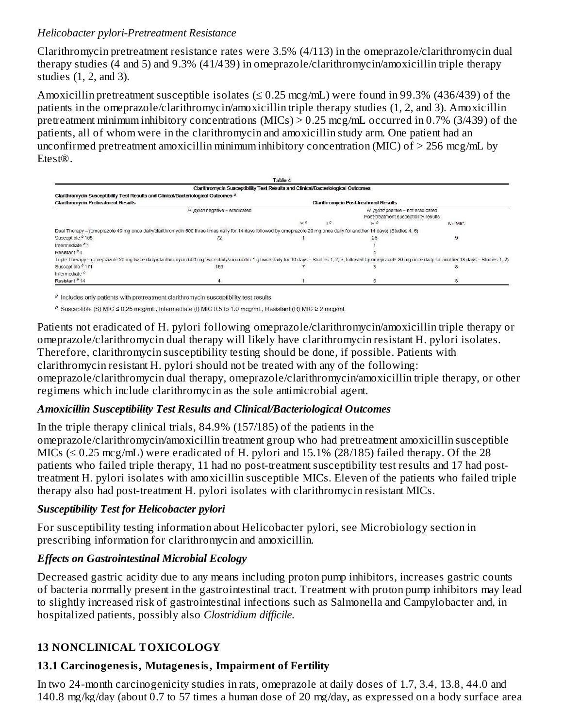#### *Helicobacter pylori-Pretreatment Resistance*

Clarithromycin pretreatment resistance rates were 3.5% (4/113) in the omeprazole/clarithromycin dual therapy studies (4 and 5) and 9.3% (41/439) in omeprazole/clarithromycin/amoxicillin triple therapy studies (1, 2, and 3).

Amoxicillin pretreatment susceptible isolates ( $\leq 0.25$  mcg/mL) were found in 99.3% (436/439) of the patients in the omeprazole/clarithromycin/amoxicillin triple therapy studies (1, 2, and 3). Amoxicillin pretreatment minimum inhibitory concentrations (MICs) > 0.25 mcg/mL occurred in 0.7% (3/439) of the patients, all of whom were in the clarithromycin and amoxicillin study arm. One patient had an unconfirmed pretreatment amoxicillin minimum inhibitory concentration (MIC) of  $>$  256 mcg/mL by Etest®.



 $a$  Includes only patients with pretreatment clarithromycin susceptibility test results

 $b$  Susceptible (S) MIC ≤ 0.25 mcg/mL, Intermediate (I) MIC 0.5 to 1.0 mcg/mL, Resistant (R) MIC ≥ 2 mcg/mL

Patients not eradicated of H. pylori following omeprazole/clarithromycin/amoxicillin triple therapy or omeprazole/clarithromycin dual therapy will likely have clarithromycin resistant H. pylori isolates. Therefore, clarithromycin susceptibility testing should be done, if possible. Patients with clarithromycin resistant H. pylori should not be treated with any of the following: omeprazole/clarithromycin dual therapy, omeprazole/clarithromycin/amoxicillin triple therapy, or other regimens which include clarithromycin as the sole antimicrobial agent.

#### *Amoxicillin Susceptibility Test Results and Clinical/Bacteriological Outcomes*

In the triple therapy clinical trials, 84.9% (157/185) of the patients in the omeprazole/clarithromycin/amoxicillin treatment group who had pretreatment amoxicillin susceptible MICs ( $\leq$  0.25 mcg/mL) were eradicated of H. pylori and 15.1% (28/185) failed therapy. Of the 28 patients who failed triple therapy, 11 had no post-treatment susceptibility test results and 17 had posttreatment H. pylori isolates with amoxicillin susceptible MICs. Eleven of the patients who failed triple therapy also had post-treatment H. pylori isolates with clarithromycin resistant MICs.

#### *Susceptibility Test for Helicobacter pylori*

For susceptibility testing information about Helicobacter pylori, see Microbiology section in prescribing information for clarithromycin and amoxicillin.

#### *Effects on Gastrointestinal Microbial Ecology*

Decreased gastric acidity due to any means including proton pump inhibitors, increases gastric counts of bacteria normally present in the gastrointestinal tract. Treatment with proton pump inhibitors may lead to slightly increased risk of gastrointestinal infections such as Salmonella and Campylobacter and, in hospitalized patients, possibly also *Clostridium difficile.*

## **13 NONCLINICAL TOXICOLOGY**

## **13.1 Carcinogenesis, Mutagenesis, Impairment of Fertility**

In two 24-month carcinogenicity studies in rats, omeprazole at daily doses of 1.7, 3.4, 13.8, 44.0 and 140.8 mg/kg/day (about 0.7 to 57 times a human dose of 20 mg/day, as expressed on a body surface area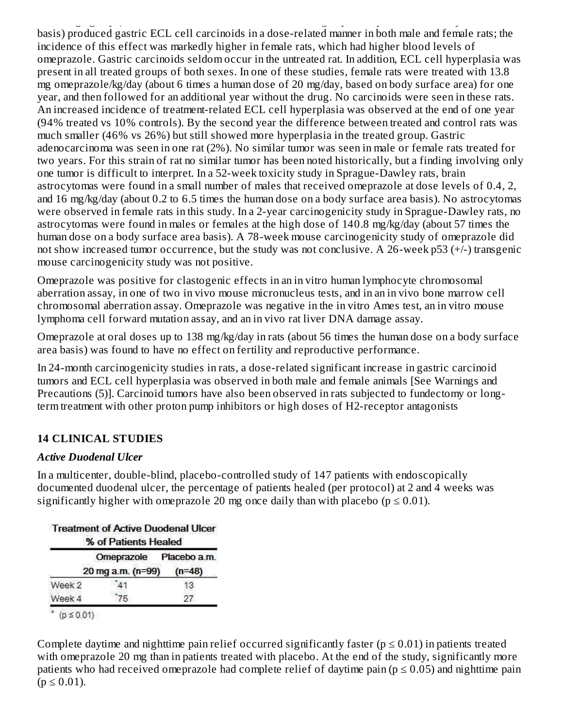140.8 mg/kg/day (about 0.7 to 57 times a human dose of 20 mg/day, as expressed on a body surface area basis) produced gastric ECL cell carcinoids in a dose-related manner in both male and female rats; the incidence of this effect was markedly higher in female rats, which had higher blood levels of omeprazole. Gastric carcinoids seldom occur in the untreated rat. In addition, ECL cell hyperplasia was present in all treated groups of both sexes. In one of these studies, female rats were treated with 13.8 mg omeprazole/kg/day (about 6 times a human dose of 20 mg/day, based on body surface area) for one year, and then followed for an additional year without the drug. No carcinoids were seen in these rats. An increased incidence of treatment-related ECL cell hyperplasia was observed at the end of one year (94% treated vs 10% controls). By the second year the difference between treated and control rats was much smaller (46% vs 26%) but still showed more hyperplasia in the treated group. Gastric adenocarcinoma was seen in one rat (2%). No similar tumor was seen in male or female rats treated for two years. For this strain of rat no similar tumor has been noted historically, but a finding involving only one tumor is difficult to interpret. In a 52-week toxicity study in Sprague-Dawley rats, brain astrocytomas were found in a small number of males that received omeprazole at dose levels of 0.4, 2, and 16 mg/kg/day (about 0.2 to 6.5 times the human dose on a body surface area basis). No astrocytomas were observed in female rats in this study. In a 2-year carcinogenicity study in Sprague-Dawley rats, no astrocytomas were found in males or females at the high dose of 140.8 mg/kg/day (about 57 times the human dose on a body surface area basis). A 78-week mouse carcinogenicity study of omeprazole did not show increased tumor occurrence, but the study was not conclusive. A 26-week p53 (+/-) transgenic mouse carcinogenicity study was not positive.

Omeprazole was positive for clastogenic effects in an in vitro human lymphocyte chromosomal aberration assay, in one of two in vivo mouse micronucleus tests, and in an in vivo bone marrow cell chromosomal aberration assay. Omeprazole was negative in the in vitro Ames test, an in vitro mouse lymphoma cell forward mutation assay, and an in vivo rat liver DNA damage assay.

Omeprazole at oral doses up to 138 mg/kg/day in rats (about 56 times the human dose on a body surface area basis) was found to have no effect on fertility and reproductive performance.

In 24-month carcinogenicity studies in rats, a dose-related significant increase in gastric carcinoid tumors and ECL cell hyperplasia was observed in both male and female animals [See Warnings and Precautions (5)]. Carcinoid tumors have also been observed in rats subjected to fundectomy or longterm treatment with other proton pump inhibitors or high doses of H2-receptor antagonists

## **14 CLINICAL STUDIES**

#### *Active Duodenal Ulcer*

In a multicenter, double-blind, placebo-controlled study of 147 patients with endoscopically documented duodenal ulcer, the percentage of patients healed (per protocol) at 2 and 4 weeks was significantly higher with omeprazole 20 mg once daily than with placebo ( $p \le 0.01$ ).

|        | <b>Treatment of Active Duodenal Ulcer</b><br>% of Patients Healed |          |
|--------|-------------------------------------------------------------------|----------|
|        | Omeprazole Placebo a.m.<br>20 mg a.m. (n=99)                      | $(n=48)$ |
| Week 2 | 41                                                                | 13       |
| Week 4 | 75                                                                | 27.      |

Complete daytime and nighttime pain relief occurred significantly faster ( $p \le 0.01$ ) in patients treated with omeprazole 20 mg than in patients treated with placebo. At the end of the study, significantly more patients who had received omeprazole had complete relief of daytime pain ( $p \le 0.05$ ) and nighttime pain  $(p \le 0.01)$ .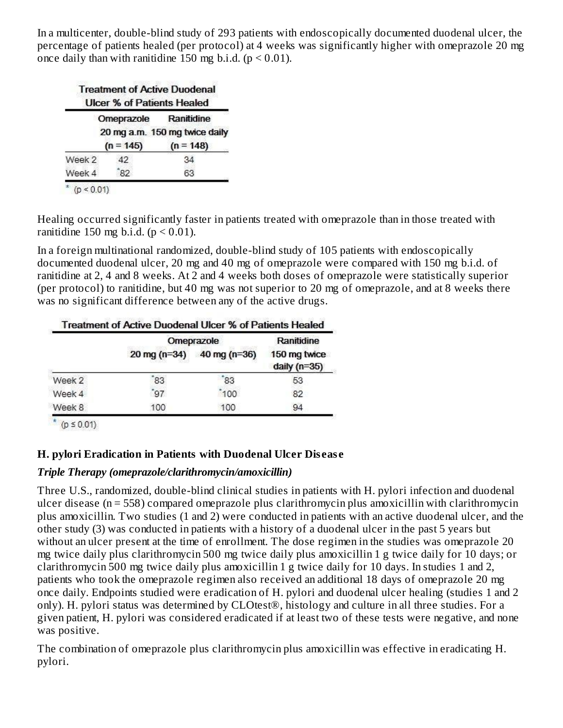In a multicenter, double-blind study of 293 patients with endoscopically documented duodenal ulcer, the percentage of patients healed (per protocol) at 4 weeks was significantly higher with omeprazole 20 mg once daily than with ranitidine 150 mg b.i.d.  $(p < 0.01)$ .

|        | <b>Treatment of Active Duodenal</b><br><b>Ulcer % of Patients Healed</b> |                                             |
|--------|--------------------------------------------------------------------------|---------------------------------------------|
|        | Omeprazole                                                               | Ranitidine<br>20 mg a.m. 150 mg twice daily |
|        | $(n = 145)$                                                              | $(n = 148)$                                 |
| Week 2 | 42                                                                       | 34                                          |
| Week 4 | 82                                                                       | 63                                          |

Healing occurred significantly faster in patients treated with omeprazole than in those treated with ranitidine 150 mg b.i.d.  $(p < 0.01)$ .

In a foreign multinational randomized, double-blind study of 105 patients with endoscopically documented duodenal ulcer, 20 mg and 40 mg of omeprazole were compared with 150 mg b.i.d. of ranitidine at 2, 4 and 8 weeks. At 2 and 4 weeks both doses of omeprazole were statistically superior (per protocol) to ranitidine, but 40 mg was not superior to 20 mg of omeprazole, and at 8 weeks there was no significant difference between any of the active drugs.

|        |                        | Omeprazole       | Ranitidine                     |
|--------|------------------------|------------------|--------------------------------|
|        | $20 \text{ mg} (n=34)$ | 40 mg ( $n=36$ ) | 150 mg twice<br>daily $(n=35)$ |
| Week 2 | 83                     | 83               | 53                             |
| Week 4 | 97                     | 100              | 82                             |
| Week 8 | 100                    | 100              | 94                             |

 $(p \le 0.01)$ 

#### **H. pylori Eradication in Patients with Duodenal Ulcer Dis eas e**

#### *Triple Therapy (omeprazole/clarithromycin/amoxicillin)*

Three U.S., randomized, double-blind clinical studies in patients with H. pylori infection and duodenal ulcer disease (n = 558) compared omeprazole plus clarithromycin plus amoxicillin with clarithromycin plus amoxicillin. Two studies (1 and 2) were conducted in patients with an active duodenal ulcer, and the other study (3) was conducted in patients with a history of a duodenal ulcer in the past 5 years but without an ulcer present at the time of enrollment. The dose regimen in the studies was omeprazole 20 mg twice daily plus clarithromycin 500 mg twice daily plus amoxicillin 1 g twice daily for 10 days; or clarithromycin 500 mg twice daily plus amoxicillin 1 g twice daily for 10 days. In studies 1 and 2, patients who took the omeprazole regimen also received an additional 18 days of omeprazole 20 mg once daily. Endpoints studied were eradication of H. pylori and duodenal ulcer healing (studies 1 and 2 only). H. pylori status was determined by CLOtest®, histology and culture in all three studies. For a given patient, H. pylori was considered eradicated if at least two of these tests were negative, and none was positive.

The combination of omeprazole plus clarithromycin plus amoxicillin was effective in eradicating H. pylori.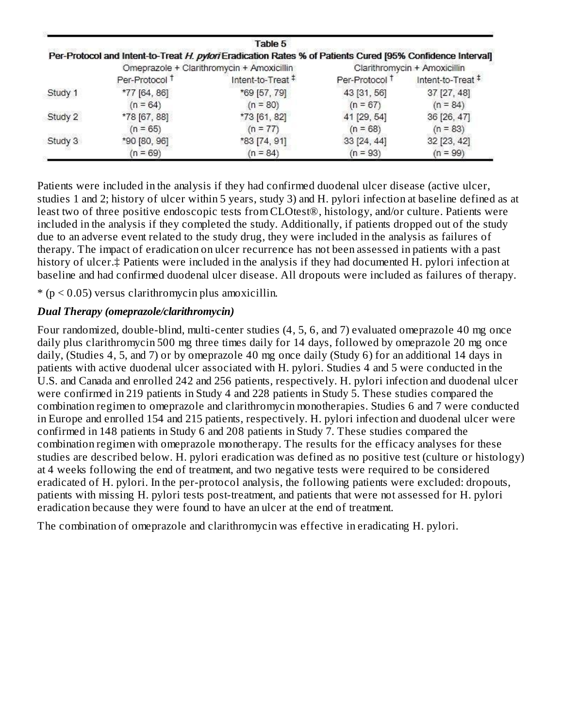|         |                           | Table 5                                                                                                    |                           |                              |
|---------|---------------------------|------------------------------------------------------------------------------------------------------------|---------------------------|------------------------------|
|         |                           | Per-Protocol and Intent-to-Treat H. pylori Eradication Rates % of Patients Cured [95% Confidence Interval] |                           |                              |
|         |                           | Omeprazole + Clarithromycin + Amoxicillin                                                                  |                           | Clarithromycin + Amoxicillin |
|         | Per-Protocol <sup>+</sup> | Intent-to-Treat <sup>#</sup>                                                                               | Per-Protocol <sup>+</sup> | Intent-to-Treat #            |
| Study 1 | *77 [64, 86]              | *69 [57, 79]                                                                                               | 43 [31, 56]               | 37 [27, 48]                  |
|         | $(n = 64)$                | $(n = 80)$                                                                                                 | $(n = 67)$                | $(n = 84)$                   |
| Study 2 | *78 [67, 88]              | *73 [61, 82]                                                                                               | 41 [29, 54]               | 36 [26, 47]                  |
|         | $(n = 65)$                | $(n = 77)$                                                                                                 | $(n = 68)$                | $(n = 83)$                   |
| Study 3 | *90 [80, 96]              | *83 [74, 91]                                                                                               | 33 [24, 44]               | 32 [23, 42]                  |
|         | $(n = 69)$                | $(n = 84)$                                                                                                 | $(n = 93)$                | $(n = 99)$                   |

Patients were included in the analysis if they had confirmed duodenal ulcer disease (active ulcer, studies 1 and 2; history of ulcer within 5 years, study 3) and H. pylori infection at baseline defined as at least two of three positive endoscopic tests from CLOtest®, histology, and/or culture. Patients were included in the analysis if they completed the study. Additionally, if patients dropped out of the study due to an adverse event related to the study drug, they were included in the analysis as failures of therapy. The impact of eradication on ulcer recurrence has not been assessed in patients with a past history of ulcer.‡ Patients were included in the analysis if they had documented H. pylori infection at baseline and had confirmed duodenal ulcer disease. All dropouts were included as failures of therapy.

 $*(p < 0.05)$  versus clarithromycin plus amoxicillin.

#### *Dual Therapy (omeprazole/clarithromycin)*

Four randomized, double-blind, multi-center studies (4, 5, 6, and 7) evaluated omeprazole 40 mg once daily plus clarithromycin 500 mg three times daily for 14 days, followed by omeprazole 20 mg once daily, (Studies 4, 5, and 7) or by omeprazole 40 mg once daily (Study 6) for an additional 14 days in patients with active duodenal ulcer associated with H. pylori. Studies 4 and 5 were conducted in the U.S. and Canada and enrolled 242 and 256 patients, respectively. H. pylori infection and duodenal ulcer were confirmed in 219 patients in Study 4 and 228 patients in Study 5. These studies compared the combination regimen to omeprazole and clarithromycin monotherapies. Studies 6 and 7 were conducted in Europe and enrolled 154 and 215 patients, respectively. H. pylori infection and duodenal ulcer were confirmed in 148 patients in Study 6 and 208 patients in Study 7. These studies compared the combination regimen with omeprazole monotherapy. The results for the efficacy analyses for these studies are described below. H. pylori eradication was defined as no positive test (culture or histology) at 4 weeks following the end of treatment, and two negative tests were required to be considered eradicated of H. pylori. In the per-protocol analysis, the following patients were excluded: dropouts, patients with missing H. pylori tests post-treatment, and patients that were not assessed for H. pylori eradication because they were found to have an ulcer at the end of treatment.

The combination of omeprazole and clarithromycin was effective in eradicating H. pylori.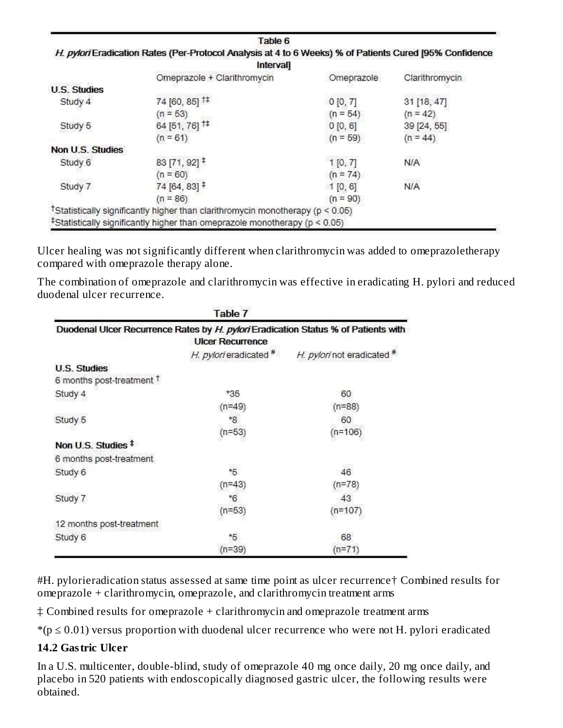|                     | Interval                                                                           |            |                |
|---------------------|------------------------------------------------------------------------------------|------------|----------------|
|                     | Omeprazole + Clarithromycin                                                        | Omeprazole | Clarithromycin |
| <b>U.S. Studies</b> |                                                                                    |            |                |
| Study 4             | 74 [60, 85] <sup>1‡</sup>                                                          | 0 [0, 7]   | 31 [18, 47]    |
|                     | $(n = 53)$                                                                         | $(n = 54)$ | $(n = 42)$     |
| Study 5             | 64 [51, 76] <sup>1‡</sup>                                                          | 0 [0, 6]   | 39 [24, 55]    |
|                     | $(n = 61)$                                                                         | $(n = 59)$ | $(n = 44)$     |
| Non U.S. Studies    |                                                                                    |            |                |
| Study 6             | 83 [71, 92] $\overline{ }$                                                         | 1[0, 7]    | <b>N/A</b>     |
|                     | $(n = 60)$                                                                         | $(n = 74)$ |                |
| Study 7             | 74 [64, 83] $\ddagger$                                                             | 1[0, 6]    | <b>N/A</b>     |
|                     | $(n = 86)$                                                                         | $(n = 90)$ |                |
|                     | TStatistically significantly higher than clarithromycin monotherapy ( $p < 0.05$ ) |            |                |

Ulcer healing was not significantly different when clarithromycin was added to omeprazoletherapy compared with omeprazole therapy alone.

The combination of omeprazole and clarithromycin was effective in eradicating H. pylori and reduced duodenal ulcer recurrence.

|                                      | Table 7                 |                                                                                    |
|--------------------------------------|-------------------------|------------------------------------------------------------------------------------|
|                                      | <b>UIcer Recurrence</b> | Duodenal Ulcer Recurrence Rates by H. pylori Eradication Status % of Patients with |
|                                      | H. pylori eradicated #  | H. pylori not eradicated #                                                         |
| <b>U.S. Studies</b>                  |                         |                                                                                    |
| 6 months post-treatment <sup>+</sup> |                         |                                                                                    |
| Study 4                              | $*35$                   | 60                                                                                 |
|                                      | $(n=49)$                | $(n=88)$                                                                           |
| Study 5                              | *8                      | 60                                                                                 |
|                                      | $(n=53)$                | $(n=106)$                                                                          |
| Non U.S. Studies <sup>‡</sup>        |                         |                                                                                    |
| 6 months post-treatment              |                         |                                                                                    |
| Study 6                              | $*5$                    | 46                                                                                 |
|                                      | $(n=43)$                | $(n=78)$                                                                           |
| Study 7                              | $*6$                    | 43                                                                                 |
|                                      | $(n=53)$                | $(n=107)$                                                                          |
| 12 months post-treatment             |                         |                                                                                    |
| Study 6                              | *5                      | 68                                                                                 |
|                                      | $(n=39)$                | $(n=71)$                                                                           |

#H. pylorieradication status assessed at same time point as ulcer recurrence† Combined results for omeprazole + clarithromycin, omeprazole, and clarithromycin treatment arms

‡ Combined results for omeprazole + clarithromycin and omeprazole treatment arms

 $*(p \le 0.01)$  versus proportion with duodenal ulcer recurrence who were not H. pylori eradicated

#### **14.2 Gastric Ulcer**

In a U.S. multicenter, double-blind, study of omeprazole 40 mg once daily, 20 mg once daily, and placebo in 520 patients with endoscopically diagnosed gastric ulcer, the following results were obtained.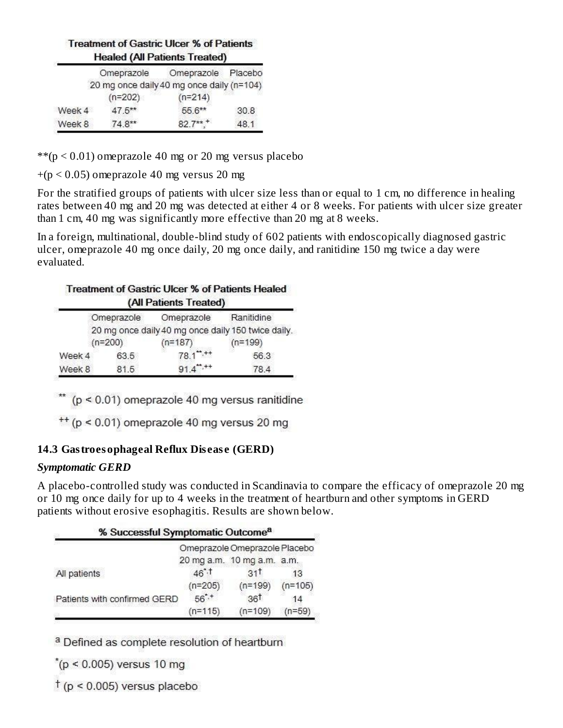#### **Treatment of Gastric Ulcer % of Patients Healed (All Patients Treated)**

| Omeprazole |           | Placebo                                                 |
|------------|-----------|---------------------------------------------------------|
|            |           |                                                         |
| $(n=202)$  | $(n=214)$ |                                                         |
| $47.5***$  | 55.6**    | 30.8                                                    |
| $74.8**$   | $82.7***$ | 48.1                                                    |
|            |           | Omeprazole<br>20 mg once daily 40 mg once daily (n=104) |

 $**$ (p < 0.01) omeprazole 40 mg or 20 mg versus placebo

 $+(p < 0.05)$  omeprazole 40 mg versus 20 mg

For the stratified groups of patients with ulcer size less than or equal to 1 cm, no difference in healing rates between 40 mg and 20 mg was detected at either 4 or 8 weeks. For patients with ulcer size greater than 1 cm, 40 mg was significantly more effective than 20 mg at 8 weeks.

In a foreign, multinational, double-blind study of 602 patients with endoscopically diagnosed gastric ulcer, omeprazole 40 mg once daily, 20 mg once daily, and ranitidine 150 mg twice a day were evaluated.

## **Treatment of Gastric Ulcer % of Patients Healed**

|           |            | (All Patients Treated) |                                                    |
|-----------|------------|------------------------|----------------------------------------------------|
|           | Omeprazole | Omeprazole             | Ranitidine                                         |
|           |            |                        | 20 mg once daily 40 mg once daily 150 twice daily. |
| $(n=200)$ |            | $(n=187)$              | $(n=199)$                                          |
| Week 4    | 63.5       | $78.1$ ", ++           | 56.3                                               |
| Week 8    | 81.5       | $91.4***$              | 78.4                                               |

\*\*  $(p < 0.01)$  omeprazole 40 mg versus ranitidine

 $^{++}$  (p < 0.01) omeprazole 40 mg versus 20 mg

## **14.3 Gastroesophageal Reflux Dis eas e (GERD)**

#### *Symptomatic GERD*

A placebo-controlled study was conducted in Scandinavia to compare the efficacy of omeprazole 20 mg or 10 mg once daily for up to 4 weeks in the treatment of heartburn and other symptoms in GERD patients without erosive esophagitis. Results are shown below.

| % Successful Symptomatic Outcome <sup>a</sup> |                  |                               |           |
|-----------------------------------------------|------------------|-------------------------------|-----------|
|                                               |                  | Omeprazole Omeprazole Placebo |           |
|                                               |                  | 20 mg a.m. 10 mg a.m. a.m.    |           |
| All patients                                  | $46^{\degree}$ . | 31 <sup>†</sup>               | 13        |
|                                               | $(n=205)$        | $(n=199)$                     | $(n=105)$ |
| Patients with confirmed GERD                  | $56^{\degree,+}$ | 36 <sup>†</sup>               | 14        |
|                                               | $(n=115)$        | $(n=109)$                     | 'n=59     |

a Defined as complete resolution of heartburn

 $*(p < 0.005)$  versus 10 mg

 $\uparrow$  (p < 0.005) versus placebo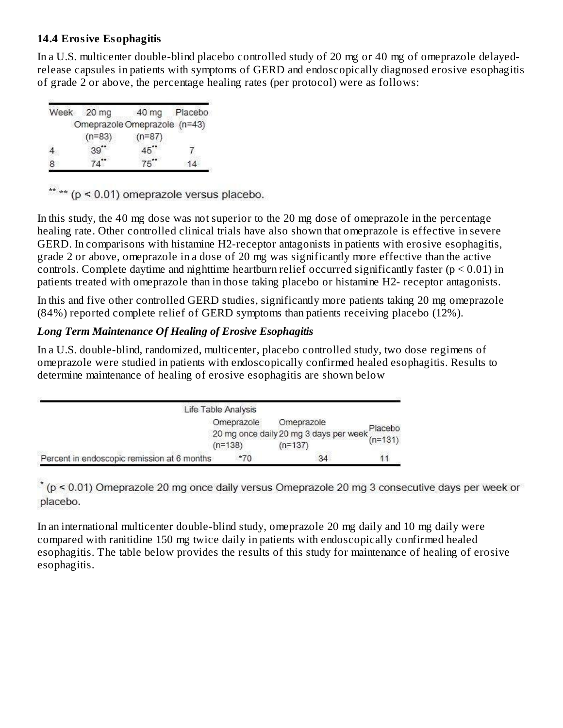#### **14.4 Erosive Esophagitis**

In a U.S. multicenter double-blind placebo controlled study of 20 mg or 40 mg of omeprazole delayedrelease capsules in patients with symptoms of GERD and endoscopically diagnosed erosive esophagitis of grade 2 or above, the percentage healing rates (per protocol) were as follows:

| Week | 20 mg    | 40 mg                        | Placebo |
|------|----------|------------------------------|---------|
|      |          | Omeprazole Omeprazole (n=43) |         |
|      | $(n=83)$ | $(n=87)$                     |         |
|      | 39"      |                              |         |
|      |          |                              |         |

\*\* \*\* (p < 0.01) omeprazole versus placebo.

In this study, the 40 mg dose was not superior to the 20 mg dose of omeprazole in the percentage healing rate. Other controlled clinical trials have also shown that omeprazole is effective in severe GERD. In comparisons with histamine H2-receptor antagonists in patients with erosive esophagitis, grade 2 or above, omeprazole in a dose of 20 mg was significantly more effective than the active controls. Complete daytime and nighttime heartburn relief occurred significantly faster ( $p \le 0.01$ ) in patients treated with omeprazole than in those taking placebo or histamine H2- receptor antagonists.

In this and five other controlled GERD studies, significantly more patients taking 20 mg omeprazole (84%) reported complete relief of GERD symptoms than patients receiving placebo (12%).

#### *Long Term Maintenance Of Healing of Erosive Esophagitis*

In a U.S. double-blind, randomized, multicenter, placebo controlled study, two dose regimens of omeprazole were studied in patients with endoscopically confirmed healed esophagitis. Results to determine maintenance of healing of erosive esophagitis are shown below

|                                             | Life Table Analysis |                                                               |  |
|---------------------------------------------|---------------------|---------------------------------------------------------------|--|
|                                             | Omeprazole          | Omeprazole                                                    |  |
|                                             |                     | 20 mg once daily 20 mg 3 days per week $_{(n=131)}^{(n=131)}$ |  |
|                                             | $(n=138)$           | $(n=137)$                                                     |  |
| Percent in endoscopic remission at 6 months | $*70$               | 34                                                            |  |

 $*(p < 0.01)$  Omeprazole 20 mg once daily versus Omeprazole 20 mg 3 consecutive days per week or placebo.

In an international multicenter double-blind study, omeprazole 20 mg daily and 10 mg daily were compared with ranitidine 150 mg twice daily in patients with endoscopically confirmed healed esophagitis. The table below provides the results of this study for maintenance of healing of erosive esophagitis.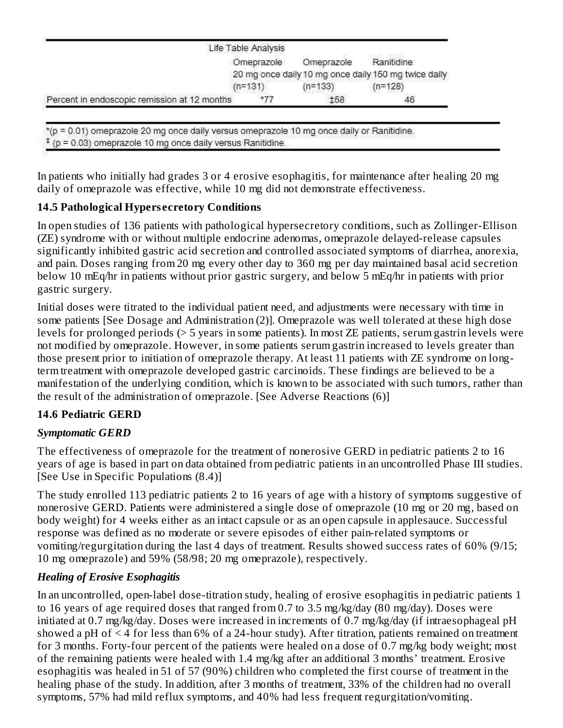|                                              | Life Table Analysis |            |                                                      |
|----------------------------------------------|---------------------|------------|------------------------------------------------------|
|                                              | Omeprazole          | Omeprazole | Ranitidine                                           |
|                                              |                     |            | 20 mg once daily 10 mg once daily 150 mg twice daily |
|                                              | $(n=131)$           | $(n=133)$  | $(n=128)$                                            |
| Percent in endoscopic remission at 12 months | $*77$               | f58        | 46                                                   |

\*(p = 0.01) omeprazole 20 mg once daily versus omeprazole 10 mg once daily or Ranitidine.  $\frac{4}{5}$  (p = 0.03) omeprazole 10 mg once daily versus Ranitidine.

In patients who initially had grades 3 or 4 erosive esophagitis, for maintenance after healing 20 mg daily of omeprazole was effective, while 10 mg did not demonstrate effectiveness.

## **14.5 Pathological Hypers ecretory Conditions**

In open studies of 136 patients with pathological hypersecretory conditions, such as Zollinger-Ellison (ZE) syndrome with or without multiple endocrine adenomas, omeprazole delayed-release capsules significantly inhibited gastric acid secretion and controlled associated symptoms of diarrhea, anorexia, and pain. Doses ranging from 20 mg every other day to 360 mg per day maintained basal acid secretion below 10 mEq/hr in patients without prior gastric surgery, and below 5 mEq/hr in patients with prior gastric surgery.

Initial doses were titrated to the individual patient need, and adjustments were necessary with time in some patients [See Dosage and Administration (2)]. Omeprazole was well tolerated at these high dose levels for prolonged periods (> 5 years in some patients). In most ZE patients, serum gastrin levels were not modified by omeprazole. However, in some patients serum gastrin increased to levels greater than those present prior to initiation of omeprazole therapy. At least 11 patients with ZE syndrome on longterm treatment with omeprazole developed gastric carcinoids. These findings are believed to be a manifestation of the underlying condition, which is known to be associated with such tumors, rather than the result of the administration of omeprazole. [See Adverse Reactions (6)]

## **14.6 Pediatric GERD**

## *Symptomatic GERD*

The effectiveness of omeprazole for the treatment of nonerosive GERD in pediatric patients 2 to 16 years of age is based in part on data obtained from pediatric patients in an uncontrolled Phase III studies. [See Use in Specific Populations (8.4)]

The study enrolled 113 pediatric patients 2 to 16 years of age with a history of symptoms suggestive of nonerosive GERD. Patients were administered a single dose of omeprazole (10 mg or 20 mg, based on body weight) for 4 weeks either as an intact capsule or as an open capsule in applesauce. Successful response was defined as no moderate or severe episodes of either pain-related symptoms or vomiting/regurgitation during the last 4 days of treatment. Results showed success rates of 60% (9/15; 10 mg omeprazole) and 59% (58/98; 20 mg omeprazole), respectively.

## *Healing of Erosive Esophagitis*

In an uncontrolled, open-label dose-titration study, healing of erosive esophagitis in pediatric patients 1 to 16 years of age required doses that ranged from 0.7 to 3.5 mg/kg/day (80 mg/day). Doses were initiated at 0.7 mg/kg/day. Doses were increased in increments of 0.7 mg/kg/day (if intraesophageal pH showed a pH of < 4 for less than 6% of a 24-hour study). After titration, patients remained on treatment for 3 months. Forty-four percent of the patients were healed on a dose of 0.7 mg/kg body weight; most of the remaining patients were healed with 1.4 mg/kg after an additional 3 months' treatment. Erosive esophagitis was healed in 51 of 57 (90%) children who completed the first course of treatment in the healing phase of the study. In addition, after 3 months of treatment, 33% of the children had no overall symptoms, 57% had mild reflux symptoms, and 40% had less frequent regurgitation/vomiting.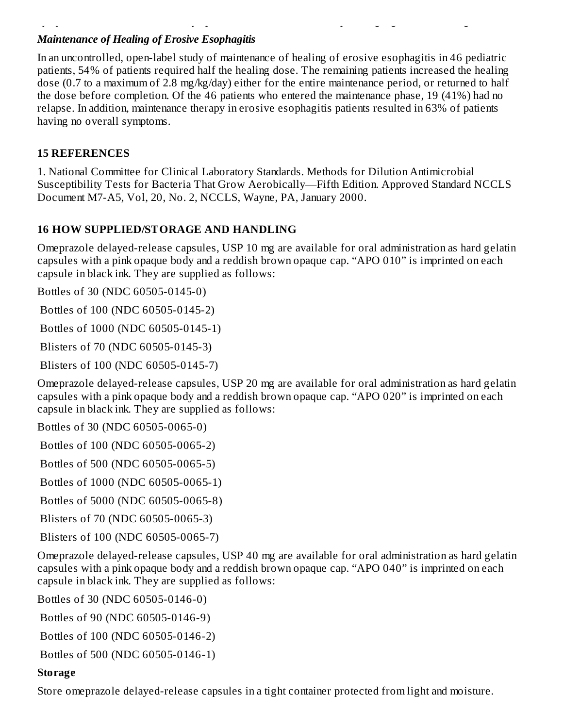## *Maintenance of Healing of Erosive Esophagitis*

In an uncontrolled, open-label study of maintenance of healing of erosive esophagitis in 46 pediatric patients, 54% of patients required half the healing dose. The remaining patients increased the healing dose (0.7 to a maximum of 2.8 mg/kg/day) either for the entire maintenance period, or returned to half the dose before completion. Of the 46 patients who entered the maintenance phase, 19 (41%) had no relapse. In addition, maintenance therapy in erosive esophagitis patients resulted in 63% of patients having no overall symptoms.

symptoms, 57% had mild reflux symptoms, and 40% had less frequent regurgitation/vomiting.

#### **15 REFERENCES**

1. National Committee for Clinical Laboratory Standards. Methods for Dilution Antimicrobial Susceptibility Tests for Bacteria That Grow Aerobically—Fifth Edition. Approved Standard NCCLS Document M7-A5, Vol, 20, No. 2, NCCLS, Wayne, PA, January 2000.

## **16 HOW SUPPLIED/STORAGE AND HANDLING**

Omeprazole delayed-release capsules, USP 10 mg are available for oral administration as hard gelatin capsules with a pink opaque body and a reddish brown opaque cap. "APO 010" is imprinted on each capsule in black ink. They are supplied as follows:

Bottles of 30 (NDC 60505-0145-0)

Bottles of 100 (NDC 60505-0145-2)

Bottles of 1000 (NDC 60505-0145-1)

Blisters of 70 (NDC 60505-0145-3)

Blisters of 100 (NDC 60505-0145-7)

Omeprazole delayed-release capsules, USP 20 mg are available for oral administration as hard gelatin capsules with a pink opaque body and a reddish brown opaque cap. "APO 020" is imprinted on each capsule in black ink. They are supplied as follows:

Bottles of 30 (NDC 60505-0065-0)

Bottles of 100 (NDC 60505-0065-2)

Bottles of 500 (NDC 60505-0065-5)

Bottles of 1000 (NDC 60505-0065-1)

Bottles of 5000 (NDC 60505-0065-8)

Blisters of 70 (NDC 60505-0065-3)

Blisters of 100 (NDC 60505-0065-7)

Omeprazole delayed-release capsules, USP 40 mg are available for oral administration as hard gelatin capsules with a pink opaque body and a reddish brown opaque cap. "APO 040" is imprinted on each capsule in black ink. They are supplied as follows:

Bottles of 30 (NDC 60505-0146-0)

Bottles of 90 (NDC 60505-0146-9)

Bottles of 100 (NDC 60505-0146-2)

Bottles of 500 (NDC 60505-0146-1)

## **Storage**

Store omeprazole delayed-release capsules in a tight container protected from light and moisture.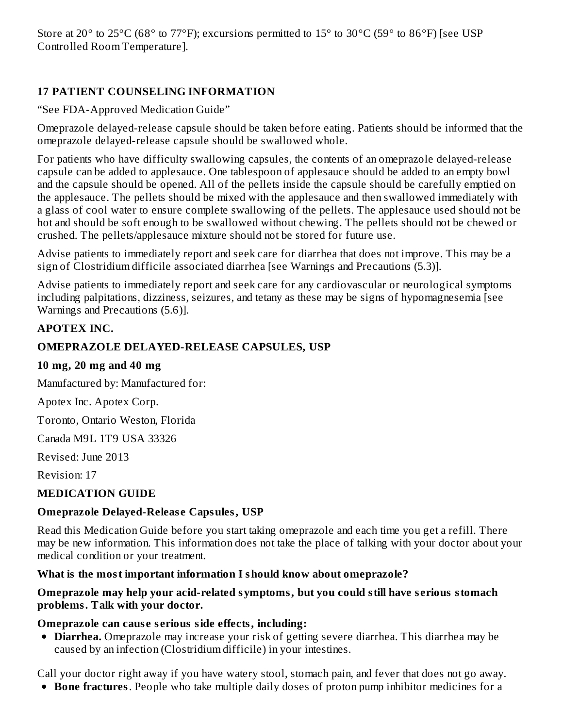Store at 20 $^{\circ}$  to 25 $^{\circ}$ C (68 $^{\circ}$  to 77 $^{\circ}$ F); excursions permitted to 15 $^{\circ}$  to 30 $^{\circ}$ C (59 $^{\circ}$  to 86 $^{\circ}$ F) [see USP Controlled Room Temperature].

## **17 PATIENT COUNSELING INFORMATION**

"See FDA-Approved Medication Guide"

Omeprazole delayed-release capsule should be taken before eating. Patients should be informed that the omeprazole delayed-release capsule should be swallowed whole.

For patients who have difficulty swallowing capsules, the contents of an omeprazole delayed-release capsule can be added to applesauce. One tablespoon of applesauce should be added to an empty bowl and the capsule should be opened. All of the pellets inside the capsule should be carefully emptied on the applesauce. The pellets should be mixed with the applesauce and then swallowed immediately with a glass of cool water to ensure complete swallowing of the pellets. The applesauce used should not be hot and should be soft enough to be swallowed without chewing. The pellets should not be chewed or crushed. The pellets/applesauce mixture should not be stored for future use.

Advise patients to immediately report and seek care for diarrhea that does not improve. This may be a sign of Clostridium difficile associated diarrhea [see Warnings and Precautions (5.3)].

Advise patients to immediately report and seek care for any cardiovascular or neurological symptoms including palpitations, dizziness, seizures, and tetany as these may be signs of hypomagnesemia [see Warnings and Precautions (5.6)].

## **APOTEX INC.**

#### **OMEPRAZOLE DELAYED-RELEASE CAPSULES, USP**

#### **10 mg, 20 mg and 40 mg**

Manufactured by: Manufactured for:

Apotex Inc. Apotex Corp.

Toronto, Ontario Weston, Florida

Canada M9L 1T9 USA 33326

Revised: June 2013

Revision: 17

#### **MEDICATION GUIDE**

#### **Omeprazole Delayed-Releas e Capsules, USP**

Read this Medication Guide before you start taking omeprazole and each time you get a refill. There may be new information. This information does not take the place of talking with your doctor about your medical condition or your treatment.

#### **What is the most important information I should know about omeprazole?**

#### **Omeprazole may help your acid-related symptoms, but you could still have s erious stomach problems. Talk with your doctor.**

#### **Omeprazole can caus e s erious side effects, including:**

**Diarrhea.** Omeprazole may increase your risk of getting severe diarrhea. This diarrhea may be caused by an infection (Clostridium difficile) in your intestines.

Call your doctor right away if you have watery stool, stomach pain, and fever that does not go away.

**Bone fractures**. People who take multiple daily doses of proton pump inhibitor medicines for a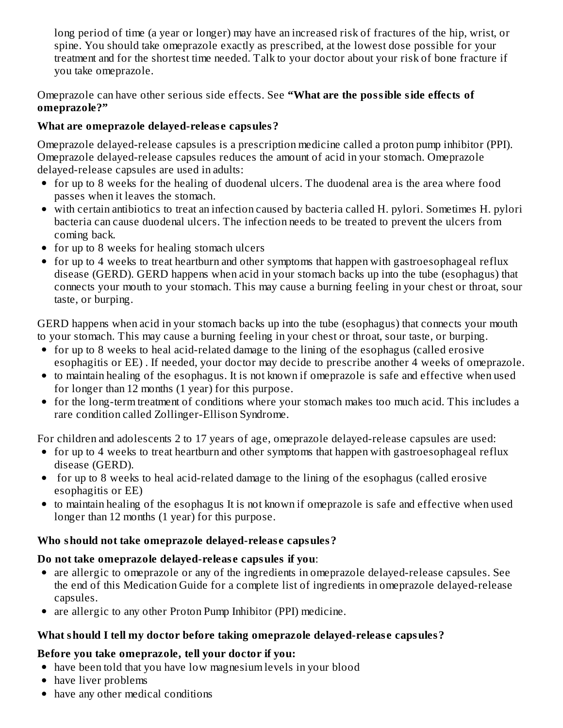long period of time (a year or longer) may have an increased risk of fractures of the hip, wrist, or spine. You should take omeprazole exactly as prescribed, at the lowest dose possible for your treatment and for the shortest time needed. Talk to your doctor about your risk of bone fracture if you take omeprazole.

Omeprazole can have other serious side effects. See **"What are the possible side effects of omeprazole?"**

## **What are omeprazole delayed-releas e capsules?**

Omeprazole delayed-release capsules is a prescription medicine called a proton pump inhibitor (PPI). Omeprazole delayed-release capsules reduces the amount of acid in your stomach. Omeprazole delayed-release capsules are used in adults:

- for up to 8 weeks for the healing of duodenal ulcers. The duodenal area is the area where food passes when it leaves the stomach.
- with certain antibiotics to treat an infection caused by bacteria called H. pylori. Sometimes H. pylori bacteria can cause duodenal ulcers. The infection needs to be treated to prevent the ulcers from coming back.
- for up to 8 weeks for healing stomach ulcers
- for up to 4 weeks to treat heartburn and other symptoms that happen with gastroesophageal reflux disease (GERD). GERD happens when acid in your stomach backs up into the tube (esophagus) that connects your mouth to your stomach. This may cause a burning feeling in your chest or throat, sour taste, or burping.

GERD happens when acid in your stomach backs up into the tube (esophagus) that connects your mouth to your stomach. This may cause a burning feeling in your chest or throat, sour taste, or burping.

- for up to 8 weeks to heal acid-related damage to the lining of the esophagus (called erosive esophagitis or EE) . If needed, your doctor may decide to prescribe another 4 weeks of omeprazole.
- to maintain healing of the esophagus. It is not known if omeprazole is safe and effective when used for longer than 12 months (1 year) for this purpose.
- for the long-term treatment of conditions where your stomach makes too much acid. This includes a rare condition called Zollinger-Ellison Syndrome.

For children and adolescents 2 to 17 years of age, omeprazole delayed-release capsules are used:

- for up to 4 weeks to treat heartburn and other symptoms that happen with gastroesophageal reflux disease (GERD).
- for up to 8 weeks to heal acid-related damage to the lining of the esophagus (called erosive esophagitis or EE)
- to maintain healing of the esophagus It is not known if omeprazole is safe and effective when used longer than 12 months (1 year) for this purpose.

## **Who should not take omeprazole delayed-releas e capsules?**

## **Do not take omeprazole delayed-releas e capsules if you**:

- are allergic to omeprazole or any of the ingredients in omeprazole delayed-release capsules. See the end of this Medication Guide for a complete list of ingredients in omeprazole delayed-release capsules.
- are allergic to any other Proton Pump Inhibitor (PPI) medicine.

## **What should I tell my doctor before taking omeprazole delayed-releas e capsules?**

## **Before you take omeprazole, tell your doctor if you:**

- have been told that you have low magnesium levels in your blood
- have liver problems
- have any other medical conditions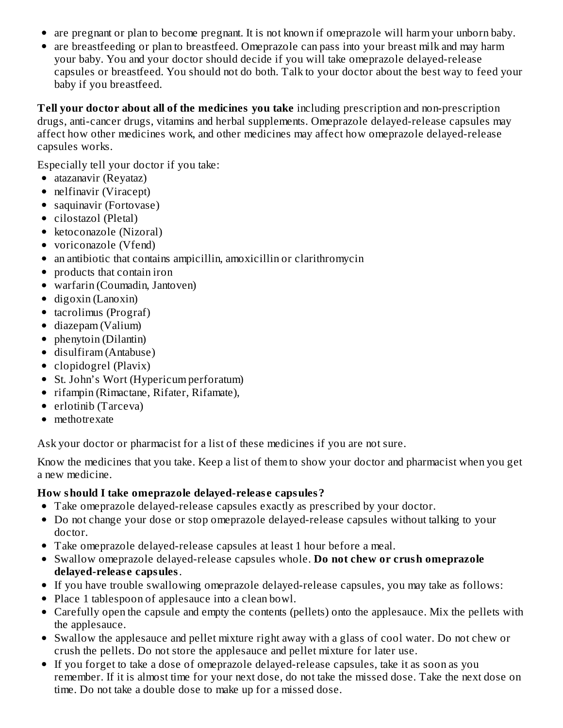- are pregnant or plan to become pregnant. It is not known if omeprazole will harm your unborn baby.
- are breastfeeding or plan to breastfeed. Omeprazole can pass into your breast milk and may harm your baby. You and your doctor should decide if you will take omeprazole delayed-release capsules or breastfeed. You should not do both. Talk to your doctor about the best way to feed your baby if you breastfeed.

**Tell your doctor about all of the medicines you take** including prescription and non-prescription drugs, anti-cancer drugs, vitamins and herbal supplements. Omeprazole delayed-release capsules may affect how other medicines work, and other medicines may affect how omeprazole delayed-release capsules works.

Especially tell your doctor if you take:

- atazanavir (Reyataz)
- nelfinavir (Viracept)
- saquinavir (Fortovase)
- cilostazol (Pletal)
- ketoconazole (Nizoral)
- voriconazole (Vfend)
- an antibiotic that contains ampicillin, amoxicillin or clarithromycin
- products that contain iron
- warfarin (Coumadin, Jantoven)
- $\bullet$  digoxin (Lanoxin)
- tacrolimus (Prograf)
- diazepam (Valium)
- phenytoin (Dilantin)
- disulfiram (Antabuse)
- clopidogrel (Plavix)
- St. John's Wort (Hypericum perforatum)
- rifampin (Rimactane, Rifater, Rifamate),
- erlotinib (Tarceva)
- methotrexate

Ask your doctor or pharmacist for a list of these medicines if you are not sure.

Know the medicines that you take. Keep a list of them to show your doctor and pharmacist when you get a new medicine.

#### **How should I take omeprazole delayed-releas e capsules?**

- Take omeprazole delayed-release capsules exactly as prescribed by your doctor.
- Do not change your dose or stop omeprazole delayed-release capsules without talking to your doctor.
- Take omeprazole delayed-release capsules at least 1 hour before a meal.
- Swallow omeprazole delayed-release capsules whole. **Do not chew or crush omeprazole delayed-releas e capsules**.
- If you have trouble swallowing omeprazole delayed-release capsules, you may take as follows:
- Place 1 tablespoon of applesauce into a clean bowl.
- Carefully open the capsule and empty the contents (pellets) onto the applesauce. Mix the pellets with the applesauce.
- Swallow the applesauce and pellet mixture right away with a glass of cool water. Do not chew or crush the pellets. Do not store the applesauce and pellet mixture for later use.
- If you forget to take a dose of omeprazole delayed-release capsules, take it as soon as you remember. If it is almost time for your next dose, do not take the missed dose. Take the next dose on time. Do not take a double dose to make up for a missed dose.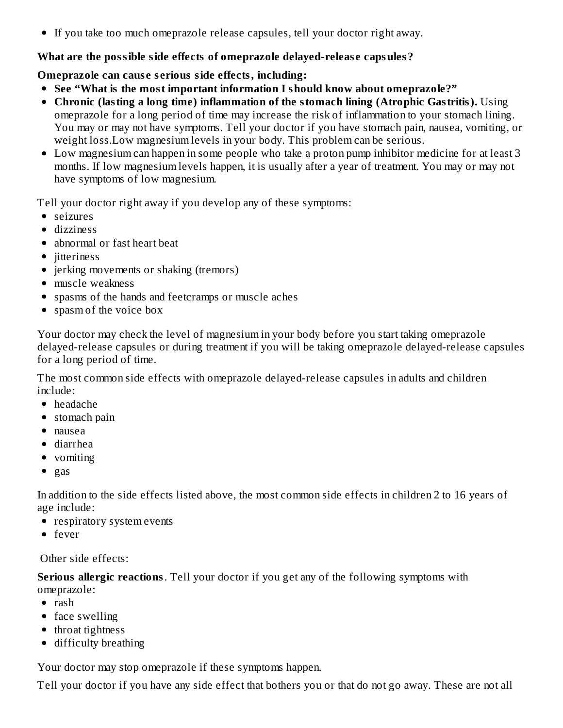If you take too much omeprazole release capsules, tell your doctor right away.

#### **What are the possible side effects of omeprazole delayed-releas e capsules?**

**Omeprazole can caus e s erious side effects, including:**

- **See "What is the most important information I should know about omeprazole?"**
- **Chronic (lasting a long time) inflammation of the stomach lining (Atrophic Gastritis).** Using omeprazole for a long period of time may increase the risk of inflammation to your stomach lining. You may or may not have symptoms. Tell your doctor if you have stomach pain, nausea, vomiting, or weight loss.Low magnesium levels in your body. This problem can be serious.
- Low magnesium can happen in some people who take a proton pump inhibitor medicine for at least 3 months. If low magnesium levels happen, it is usually after a year of treatment. You may or may not have symptoms of low magnesium.

Tell your doctor right away if you develop any of these symptoms:

- seizures
- dizziness
- abnormal or fast heart beat
- jitteriness
- jerking movements or shaking (tremors)
- muscle weakness
- spasms of the hands and feetcramps or muscle aches
- spasm of the voice box

Your doctor may check the level of magnesium in your body before you start taking omeprazole delayed-release capsules or during treatment if you will be taking omeprazole delayed-release capsules for a long period of time.

The most common side effects with omeprazole delayed-release capsules in adults and children include:

- headache
- stomach pain
- nausea
- diarrhea
- vomiting
- $\bullet$  gas

In addition to the side effects listed above, the most common side effects in children 2 to 16 years of age include:

- respiratory system events
- fever

Other side effects:

**Serious allergic reactions**. Tell your doctor if you get any of the following symptoms with omeprazole:

- rash
- face swelling
- throat tightness
- difficulty breathing

Your doctor may stop omeprazole if these symptoms happen.

Tell your doctor if you have any side effect that bothers you or that do not go away. These are not all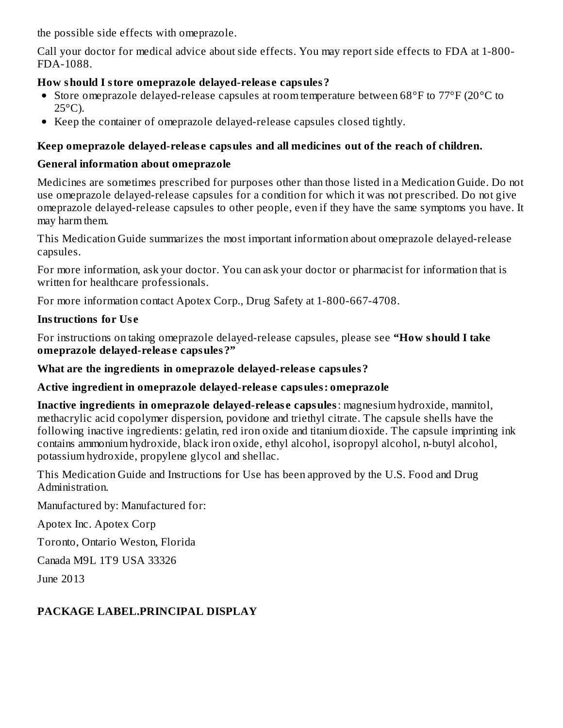the possible side effects with omeprazole.

Call your doctor for medical advice about side effects. You may report side effects to FDA at 1-800- FDA-1088.

#### **How should I store omeprazole delayed-releas e capsules?**

- Store omeprazole delayed-release capsules at room temperature between 68°F to 77°F (20°C to  $25^{\circ}$ C).
- Keep the container of omeprazole delayed-release capsules closed tightly.

## **Keep omeprazole delayed-releas e capsules and all medicines out of the reach of children.**

#### **General information about omeprazole**

Medicines are sometimes prescribed for purposes other than those listed in a Medication Guide. Do not use omeprazole delayed-release capsules for a condition for which it was not prescribed. Do not give omeprazole delayed-release capsules to other people, even if they have the same symptoms you have. It may harm them.

This Medication Guide summarizes the most important information about omeprazole delayed-release capsules.

For more information, ask your doctor. You can ask your doctor or pharmacist for information that is written for healthcare professionals.

For more information contact Apotex Corp., Drug Safety at 1-800-667-4708.

#### **Instructions for Us e**

For instructions on taking omeprazole delayed-release capsules, please see **"How should I take omeprazole delayed-releas e capsules?"**

#### **What are the ingredients in omeprazole delayed-releas e capsules?**

## **Active ingredient in omeprazole delayed-releas e capsules: omeprazole**

**Inactive ingredients in omeprazole delayed-releas e capsules**: magnesium hydroxide, mannitol, methacrylic acid copolymer dispersion, povidone and triethyl citrate. The capsule shells have the following inactive ingredients: gelatin, red iron oxide and titanium dioxide. The capsule imprinting ink contains ammonium hydroxide, black iron oxide, ethyl alcohol, isopropyl alcohol, n-butyl alcohol, potassium hydroxide, propylene glycol and shellac.

This Medication Guide and Instructions for Use has been approved by the U.S. Food and Drug Administration.

Manufactured by: Manufactured for:

Apotex Inc. Apotex Corp

Toronto, Ontario Weston, Florida

Canada M9L 1T9 USA 33326

June 2013

## **PACKAGE LABEL.PRINCIPAL DISPLAY**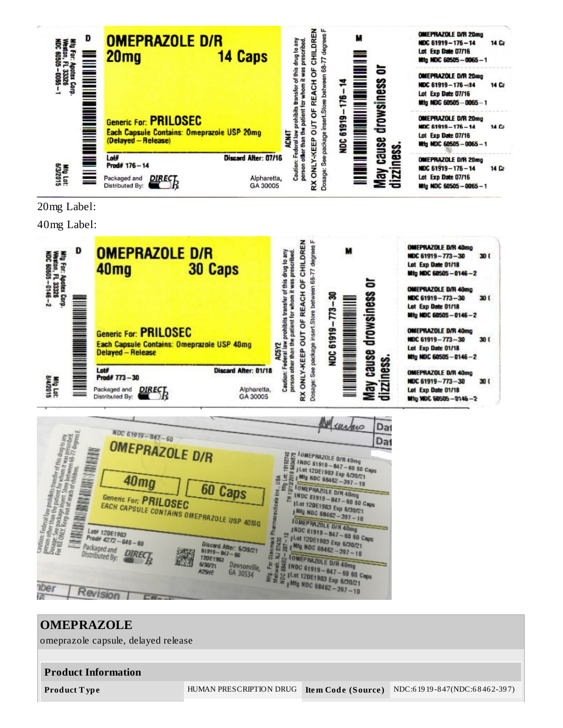

20mg Label:

40mg Label:



|                                                                                                                                                                                                                                                                                                                                                                                                             | M surfac                                                                                                                                                                                                                                                                                                                                                                                                                                                                   | Da |
|-------------------------------------------------------------------------------------------------------------------------------------------------------------------------------------------------------------------------------------------------------------------------------------------------------------------------------------------------------------------------------------------------------------|----------------------------------------------------------------------------------------------------------------------------------------------------------------------------------------------------------------------------------------------------------------------------------------------------------------------------------------------------------------------------------------------------------------------------------------------------------------------------|----|
| NDC 61919-847-60                                                                                                                                                                                                                                                                                                                                                                                            |                                                                                                                                                                                                                                                                                                                                                                                                                                                                            | Da |
| this drug to any<br>was prescribed<br><b>OMEPRAZOLE D/R</b>                                                                                                                                                                                                                                                                                                                                                 | <b>I OMEPRAZOLE O/R 40mg</b>                                                                                                                                                                                                                                                                                                                                                                                                                                               |    |
| 40 <sub>mg</sub><br>里<br>60 Caps<br>Generic For: PRILOSEC<br><b>Duticals</b><br>EACH CAPSULE CONTAINS OMEPRAZOLE USP 40MG<br>Lati 120E1903<br>Rerson<br>Dusage: See<br>For Rif Ollity<br>Prodii 4272 - 040 - 60<br><b>Discard After: 6/39/21</b><br>Packaged and<br>$61915 - 847 - 60$<br>DIREC<br>Distributed By:<br><b>120E1903</b><br>6/30/21<br>Dawsonville,<br>A25HE<br>GA 30534<br><i><b>nber</b></i> | E TOMEPRAZOLE D/R 40mg<br>2 TNDC \$1919 - 647 - 60 60 Caps<br>[Let 12DE1983 Exp 6/30/21]<br>Mtg NDC 68462-397-10<br><b>TOMEPRAZOLE D/R 40mg</b><br>INDC 61919-847-60 60 Caps<br>ILot 120E1903 Exp 6/30/21<br>Mfg NDC 68462-397-10<br><b>JOMEPRAZOLE D/R 40mg</b><br>(NDC 61919-847-60 60 Caps)<br>(Let 120E1903 Exp 6/30/21)<br>Mfg NDC 68462-397-10<br><b>TOMEPRAZOLE D/R 40mg</b><br>3 INDC 61519-847-60 60 Caps<br>S IL ON 120E1983 Exp 6/30/21<br>Mfg NDC 68462-397-10 |    |
| Revision<br>偿                                                                                                                                                                                                                                                                                                                                                                                               |                                                                                                                                                                                                                                                                                                                                                                                                                                                                            |    |

# **OMEPRAZOLE** omeprazole capsule, delayed release **Product Information Product T ype** HUMAN PRESCRIPTION DRUG **Ite m Code (Source )** NDC:6 19 19 -8 47(NDC:6 8 46 2-39 7)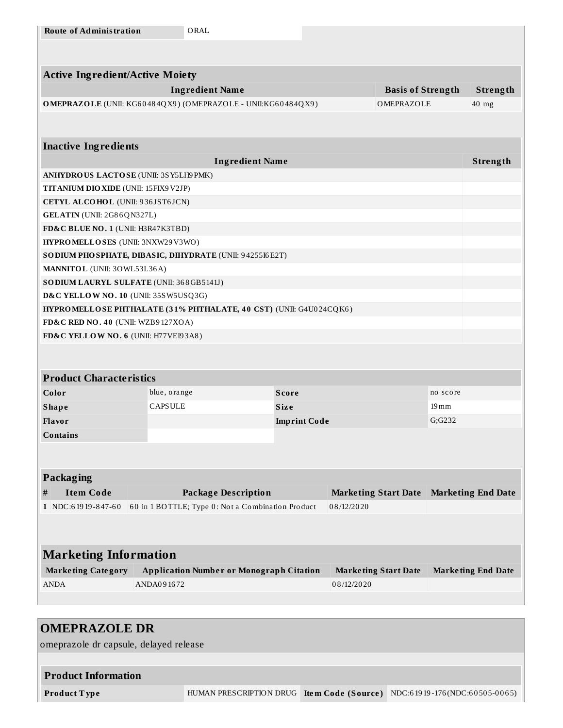| <b>Route of Administration</b>            |                                                                            | ORAL                                                              |                     |                             |                          |               |                           |
|-------------------------------------------|----------------------------------------------------------------------------|-------------------------------------------------------------------|---------------------|-----------------------------|--------------------------|---------------|---------------------------|
|                                           |                                                                            |                                                                   |                     |                             |                          |               |                           |
|                                           |                                                                            |                                                                   |                     |                             |                          |               |                           |
| <b>Active Ingredient/Active Moiety</b>    |                                                                            |                                                                   |                     |                             |                          |               |                           |
|                                           |                                                                            | <b>Ingredient Name</b>                                            |                     |                             | <b>Basis of Strength</b> |               | Strength                  |
|                                           | OMEPRAZOLE (UNII: KG60484QX9) (OMEPRAZOLE - UNII:KG60484QX9)<br>OMEPRAZOLE |                                                                   |                     |                             | $40$ mg                  |               |                           |
|                                           |                                                                            |                                                                   |                     |                             |                          |               |                           |
|                                           |                                                                            |                                                                   |                     |                             |                          |               |                           |
| <b>Inactive Ingredients</b>               |                                                                            |                                                                   |                     |                             |                          |               |                           |
|                                           |                                                                            | <b>Ingredient Name</b>                                            |                     |                             |                          |               | Strength                  |
| ANHYDROUS LACTOSE (UNII: 3SY5LH9PMK)      |                                                                            |                                                                   |                     |                             |                          |               |                           |
| TITANIUM DIO XIDE (UNII: 15FIX9 V2JP)     |                                                                            |                                                                   |                     |                             |                          |               |                           |
| CETYL ALCOHOL (UNII: 936JST6JCN)          |                                                                            |                                                                   |                     |                             |                          |               |                           |
| GELATIN (UNII: 2G86QN327L)                |                                                                            |                                                                   |                     |                             |                          |               |                           |
| FD&C BLUE NO. 1 (UNII: H3R47K3TBD)        |                                                                            |                                                                   |                     |                             |                          |               |                           |
| HYPROMELLOSES (UNII: 3NXW29V3WO)          |                                                                            |                                                                   |                     |                             |                          |               |                           |
|                                           |                                                                            | SO DIUM PHO SPHATE, DIBASIC, DIHYDRATE (UNII: 9425516E2T)         |                     |                             |                          |               |                           |
| <b>MANNITOL</b> (UNII: 30WL53L36A)        |                                                                            |                                                                   |                     |                             |                          |               |                           |
| SO DIUM LAURYL SULFATE (UNII: 368GB5141J) |                                                                            |                                                                   |                     |                             |                          |               |                           |
| D&C YELLOW NO. 10 (UNII: 35SW5USQ3G)      |                                                                            |                                                                   |                     |                             |                          |               |                           |
|                                           |                                                                            | HYPROMELLOSE PHTHALATE (31% PHTHALATE, 40 CST) (UNII: G4U024CQK6) |                     |                             |                          |               |                           |
| FD&C RED NO. 40 (UNII: WZB9127XOA)        |                                                                            |                                                                   |                     |                             |                          |               |                           |
| FD&C YELLOW NO. 6 (UNII: H77VEI93A8)      |                                                                            |                                                                   |                     |                             |                          |               |                           |
|                                           |                                                                            |                                                                   |                     |                             |                          |               |                           |
| <b>Product Characteristics</b>            |                                                                            |                                                                   |                     |                             |                          |               |                           |
|                                           |                                                                            |                                                                   |                     |                             |                          |               |                           |
| Color                                     | blue, orange                                                               |                                                                   | <b>Score</b>        |                             |                          | no score      |                           |
| <b>Shape</b>                              | CAPSULE                                                                    |                                                                   | <b>Size</b>         |                             |                          | 19 mm         |                           |
| Flavor                                    |                                                                            |                                                                   | <b>Imprint Code</b> |                             |                          | $G$ ; $G$ 232 |                           |
| Contains                                  |                                                                            |                                                                   |                     |                             |                          |               |                           |
|                                           |                                                                            |                                                                   |                     |                             |                          |               |                           |
|                                           |                                                                            |                                                                   |                     |                             |                          |               |                           |
| <b>Packaging</b>                          |                                                                            |                                                                   |                     |                             |                          |               |                           |
| <b>Item Code</b><br>#                     |                                                                            | <b>Package Description</b>                                        |                     | <b>Marketing Start Date</b> |                          |               | <b>Marketing End Date</b> |
| 1 NDC:61919-847-60                        |                                                                            | 60 in 1 BOTTLE; Type 0: Not a Combination Product                 |                     | 08/12/2020                  |                          |               |                           |
|                                           |                                                                            |                                                                   |                     |                             |                          |               |                           |
|                                           |                                                                            |                                                                   |                     |                             |                          |               |                           |
| <b>Marketing Information</b>              |                                                                            |                                                                   |                     |                             |                          |               |                           |
| <b>Marketing Category</b>                 |                                                                            | <b>Application Number or Monograph Citation</b>                   |                     | <b>Marketing Start Date</b> |                          |               | <b>Marketing End Date</b> |
| <b>ANDA</b>                               | ANDA091672                                                                 |                                                                   |                     | 08/12/2020                  |                          |               |                           |
|                                           |                                                                            |                                                                   |                     |                             |                          |               |                           |
|                                           |                                                                            |                                                                   |                     |                             |                          |               |                           |

## **OMEPRAZOLE DR**

omeprazole dr capsule, delayed release

## **Product Information Product T ype** HUMAN PRESCRIPTION DRUG **Ite m Code (Source )** NDC:6 19 19 -176 (NDC:6 0 50 5-0 0 6 5)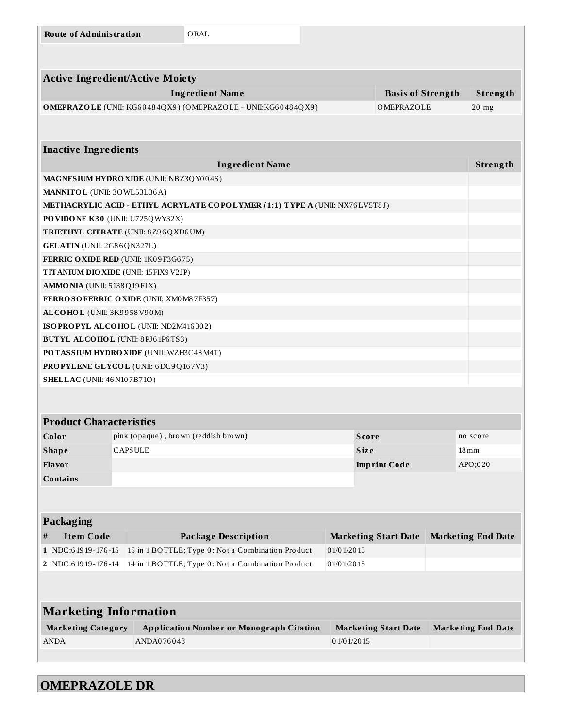|   | <b>Route of Administration</b>                 |                |            | ORAL                                                                        |               |                             |                           |
|---|------------------------------------------------|----------------|------------|-----------------------------------------------------------------------------|---------------|-----------------------------|---------------------------|
|   |                                                |                |            |                                                                             |               |                             |                           |
|   | <b>Active Ingredient/Active Moiety</b>         |                |            |                                                                             |               |                             |                           |
|   |                                                |                |            | <b>Ingredient Name</b>                                                      |               | <b>Basis of Strength</b>    | Strength                  |
|   |                                                |                |            | OMEPRAZOLE (UNII: KG60484QX9) (OMEPRAZOLE - UNII:KG60484QX9)                |               | OMEPRAZOLE                  | $20$ mg                   |
|   |                                                |                |            |                                                                             |               |                             |                           |
|   |                                                |                |            |                                                                             |               |                             |                           |
|   | <b>Inactive Ingredients</b>                    |                |            |                                                                             |               |                             |                           |
|   |                                                |                |            | <b>Ingredient Name</b>                                                      |               |                             | Strength                  |
|   | <b>MAGNESIUM HYDRO XIDE</b> (UNII: NBZ3QY004S) |                |            |                                                                             |               |                             |                           |
|   | MANNITOL (UNII: 30WL53L36A)                    |                |            |                                                                             |               |                             |                           |
|   |                                                |                |            | METHACRYLIC ACID - ETHYL ACRYLATE COPOLYMER (1:1) TYPE A (UNII: NX76LV5T8J) |               |                             |                           |
|   | PO VIDONE K30 (UNII: U725QWY32X)               |                |            |                                                                             |               |                             |                           |
|   | <b>TRIETHYL CITRATE (UNII: 8Z96QXD6UM)</b>     |                |            |                                                                             |               |                             |                           |
|   | <b>GELATIN</b> (UNII: 2G86QN327L)              |                |            |                                                                             |               |                             |                           |
|   | FERRIC OXIDE RED (UNII: 1K09F3G675)            |                |            |                                                                             |               |                             |                           |
|   | <b>TITANIUM DIO XIDE (UNII: 15FIX9 V2JP)</b>   |                |            |                                                                             |               |                             |                           |
|   | <b>AMMONIA</b> (UNII: 5138Q19F1X)              |                |            |                                                                             |               |                             |                           |
|   | FERROSOFERRIC OXIDE (UNII: XM0 M8 7F357)       |                |            |                                                                             |               |                             |                           |
|   | ALCOHOL (UNII: 3K9958V90M)                     |                |            |                                                                             |               |                             |                           |
|   | ISOPROPYL ALCOHOL (UNII: ND2M416302)           |                |            |                                                                             |               |                             |                           |
|   | <b>BUTYL ALCOHOL</b> (UNII: 8PJ61P6TS3)        |                |            |                                                                             |               |                             |                           |
|   | POTASSIUM HYDROXIDE (UNII: WZH3C48M4T)         |                |            |                                                                             |               |                             |                           |
|   | <b>PROPYLENE GLYCOL</b> (UNII: 6DC9Q167V3)     |                |            |                                                                             |               |                             |                           |
|   | <b>SHELLAC</b> (UNII: 46 N107B71O)             |                |            |                                                                             |               |                             |                           |
|   |                                                |                |            |                                                                             |               |                             |                           |
|   |                                                |                |            |                                                                             |               |                             |                           |
|   | <b>Product Characteristics</b>                 |                |            |                                                                             |               |                             |                           |
|   | Color                                          |                |            | pink (opaque), brown (reddish brown)                                        |               | <b>Score</b>                | no score                  |
|   | <b>Shape</b>                                   | <b>CAPSULE</b> |            |                                                                             |               | Size                        | $18 \,\mathrm{mm}$        |
|   | Flavor                                         |                |            |                                                                             |               | <b>Imprint Code</b>         | APO;020                   |
|   | <b>Contains</b>                                |                |            |                                                                             |               |                             |                           |
|   |                                                |                |            |                                                                             |               |                             |                           |
|   |                                                |                |            |                                                                             |               |                             |                           |
|   | Packaging                                      |                |            |                                                                             |               |                             |                           |
| # | <b>Item Code</b>                               |                |            | <b>Package Description</b>                                                  |               | <b>Marketing Start Date</b> | <b>Marketing End Date</b> |
|   | 1 NDC:61919-176-15                             |                |            | 15 in 1 BOTTLE; Type 0: Not a Combination Product                           | 01/01/2015    |                             |                           |
|   | 2 NDC:61919-176-14                             |                |            | 14 in 1 BOTTLE; Type 0: Not a Combination Product                           | 0 1/0 1/20 15 |                             |                           |
|   |                                                |                |            |                                                                             |               |                             |                           |
|   |                                                |                |            |                                                                             |               |                             |                           |
|   | <b>Marketing Information</b>                   |                |            |                                                                             |               |                             |                           |
|   | <b>Marketing Category</b>                      |                |            | <b>Application Number or Monograph Citation</b>                             |               | <b>Marketing Start Date</b> | <b>Marketing End Date</b> |
|   | <b>ANDA</b>                                    |                | ANDA076048 |                                                                             | 0 1/0 1/20 15 |                             |                           |
|   |                                                |                |            |                                                                             |               |                             |                           |
|   |                                                |                |            |                                                                             |               |                             |                           |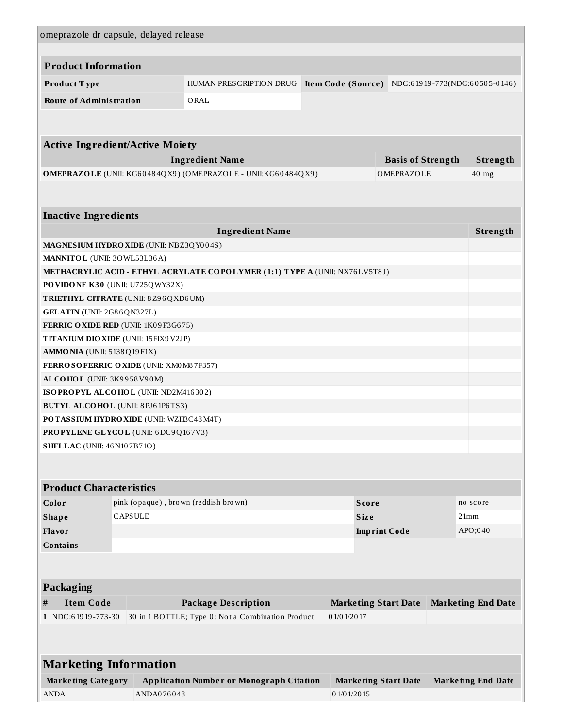| omeprazole dr capsule, delayed release                                         |                                      |                                                                                        |                             |                                        |                                                  |
|--------------------------------------------------------------------------------|--------------------------------------|----------------------------------------------------------------------------------------|-----------------------------|----------------------------------------|--------------------------------------------------|
|                                                                                |                                      |                                                                                        |                             |                                        |                                                  |
| <b>Product Information</b>                                                     |                                      |                                                                                        |                             |                                        |                                                  |
| Product Type                                                                   |                                      | HUMAN PRESCRIPTION DRUG                                                                |                             |                                        | Item Code (Source) NDC:61919-773(NDC:60505-0146) |
|                                                                                |                                      |                                                                                        |                             |                                        |                                                  |
| <b>Route of Administration</b>                                                 |                                      | ORAL                                                                                   |                             |                                        |                                                  |
|                                                                                |                                      |                                                                                        |                             |                                        |                                                  |
|                                                                                |                                      |                                                                                        |                             |                                        |                                                  |
| <b>Active Ingredient/Active Moiety</b>                                         |                                      |                                                                                        |                             |                                        |                                                  |
|                                                                                |                                      | <b>Ingredient Name</b><br>OMEPRAZOLE (UNII: KG60484QX9) (OMEPRAZOLE - UNII:KG60484QX9) |                             | <b>Basis of Strength</b><br>OMEPRAZOLE | Strength<br>$40$ mg                              |
|                                                                                |                                      |                                                                                        |                             |                                        |                                                  |
|                                                                                |                                      |                                                                                        |                             |                                        |                                                  |
| <b>Inactive Ingredients</b>                                                    |                                      |                                                                                        |                             |                                        |                                                  |
|                                                                                |                                      | <b>Ingredient Name</b>                                                                 |                             |                                        | Strength                                         |
| MAGNESIUM HYDRO XIDE (UNII: NBZ3QY004S)                                        |                                      |                                                                                        |                             |                                        |                                                  |
| MANNITOL (UNII: 30WL53L36A)                                                    |                                      |                                                                                        |                             |                                        |                                                  |
|                                                                                |                                      | METHACRYLIC ACID - ETHYL ACRYLATE COPOLYMER (1:1) TYPE A (UNII: NX76LV5T8J)            |                             |                                        |                                                  |
| PO VIDONE K30 (UNII: U725QWY32X)                                               |                                      |                                                                                        |                             |                                        |                                                  |
| <b>TRIETHYL CITRATE (UNII: 8Z96QXD6UM)</b>                                     |                                      |                                                                                        |                             |                                        |                                                  |
| GELATIN (UNII: 2G86QN327L)                                                     |                                      |                                                                                        |                             |                                        |                                                  |
| FERRIC OXIDE RED (UNII: 1K09F3G675)                                            |                                      |                                                                                        |                             |                                        |                                                  |
| TITANIUM DIO XIDE (UNII: 15FIX9 V2JP)                                          |                                      |                                                                                        |                             |                                        |                                                  |
| AMMONIA (UNII: 5138Q19F1X)                                                     |                                      |                                                                                        |                             |                                        |                                                  |
| FERROSOFERRIC OXIDE (UNII: XM0 M87F357)                                        |                                      |                                                                                        |                             |                                        |                                                  |
| ALCOHOL (UNII: 3K9958V90M)                                                     |                                      |                                                                                        |                             |                                        |                                                  |
| ISOPROPYL ALCOHOL (UNII: ND2M416302)                                           |                                      |                                                                                        |                             |                                        |                                                  |
| <b>BUTYL ALCOHOL</b> (UNII: 8PJ61P6TS3)                                        |                                      |                                                                                        |                             |                                        |                                                  |
| POTASSIUM HYDRO XIDE (UNII: WZH3C48M4T)<br>PROPYLENE GLYCOL (UNII: 6DC9Q167V3) |                                      |                                                                                        |                             |                                        |                                                  |
| <b>SHELLAC</b> (UNII: 46 N107B71O)                                             |                                      |                                                                                        |                             |                                        |                                                  |
|                                                                                |                                      |                                                                                        |                             |                                        |                                                  |
|                                                                                |                                      |                                                                                        |                             |                                        |                                                  |
| <b>Product Characteristics</b>                                                 |                                      |                                                                                        |                             |                                        |                                                  |
| Color                                                                          | pink (opaque), brown (reddish brown) |                                                                                        | <b>Score</b>                |                                        | no score                                         |
| <b>Shape</b>                                                                   | CAPSULE                              |                                                                                        | <b>Size</b>                 |                                        | 21mm                                             |
| Flavor                                                                         |                                      |                                                                                        |                             | <b>Imprint Code</b>                    | APO;040                                          |
| <b>Contains</b>                                                                |                                      |                                                                                        |                             |                                        |                                                  |
|                                                                                |                                      |                                                                                        |                             |                                        |                                                  |
|                                                                                |                                      |                                                                                        |                             |                                        |                                                  |
| <b>Packaging</b>                                                               |                                      |                                                                                        |                             |                                        |                                                  |
| <b>Item Code</b><br>#                                                          |                                      | <b>Package Description</b>                                                             | <b>Marketing Start Date</b> |                                        | <b>Marketing End Date</b>                        |
| 1 NDC:61919-773-30                                                             |                                      | 30 in 1 BOTTLE; Type 0: Not a Combination Product                                      | 01/01/2017                  |                                        |                                                  |
|                                                                                |                                      |                                                                                        |                             |                                        |                                                  |
|                                                                                |                                      |                                                                                        |                             |                                        |                                                  |
| <b>Marketing Information</b>                                                   |                                      |                                                                                        |                             |                                        |                                                  |
| <b>Marketing Category</b>                                                      |                                      | <b>Application Number or Monograph Citation</b>                                        |                             | <b>Marketing Start Date</b>            | <b>Marketing End Date</b>                        |
| <b>ANDA</b>                                                                    | ANDA076048                           |                                                                                        | 0 1/0 1/20 15               |                                        |                                                  |